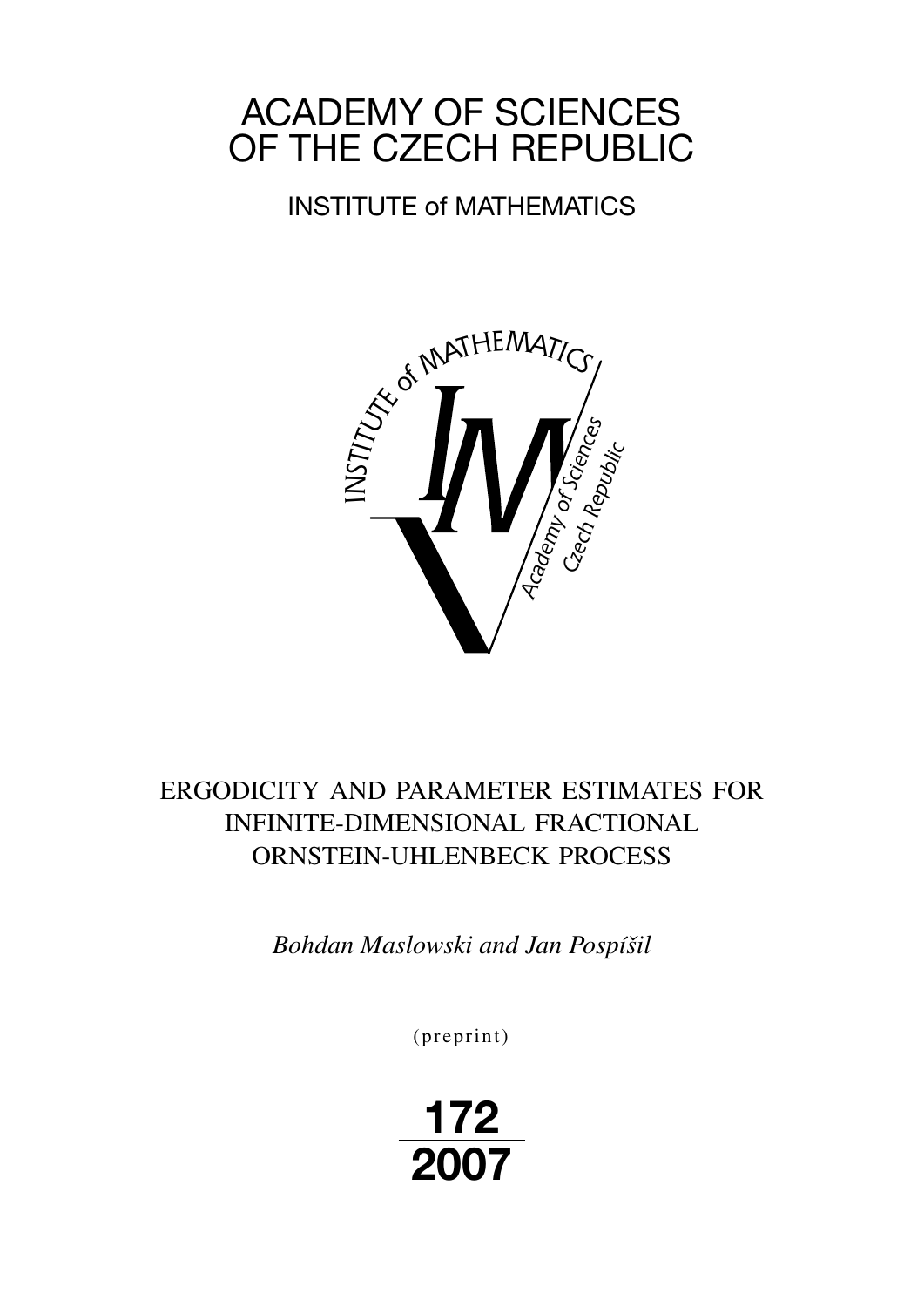# ACADEMY OF SCIENCES OF THE CZECH REPUBLIC

## INSTITUTE of MATHEMATICS



## ERGODICITY AND PARAMETER ESTIMATES FOR INFINITE-DIMENSIONAL FRACTIONAL ORNSTEIN-UHLENBECK PROCESS

*Bohdan Maslowski and Jan Pospíšil*

(preprint)

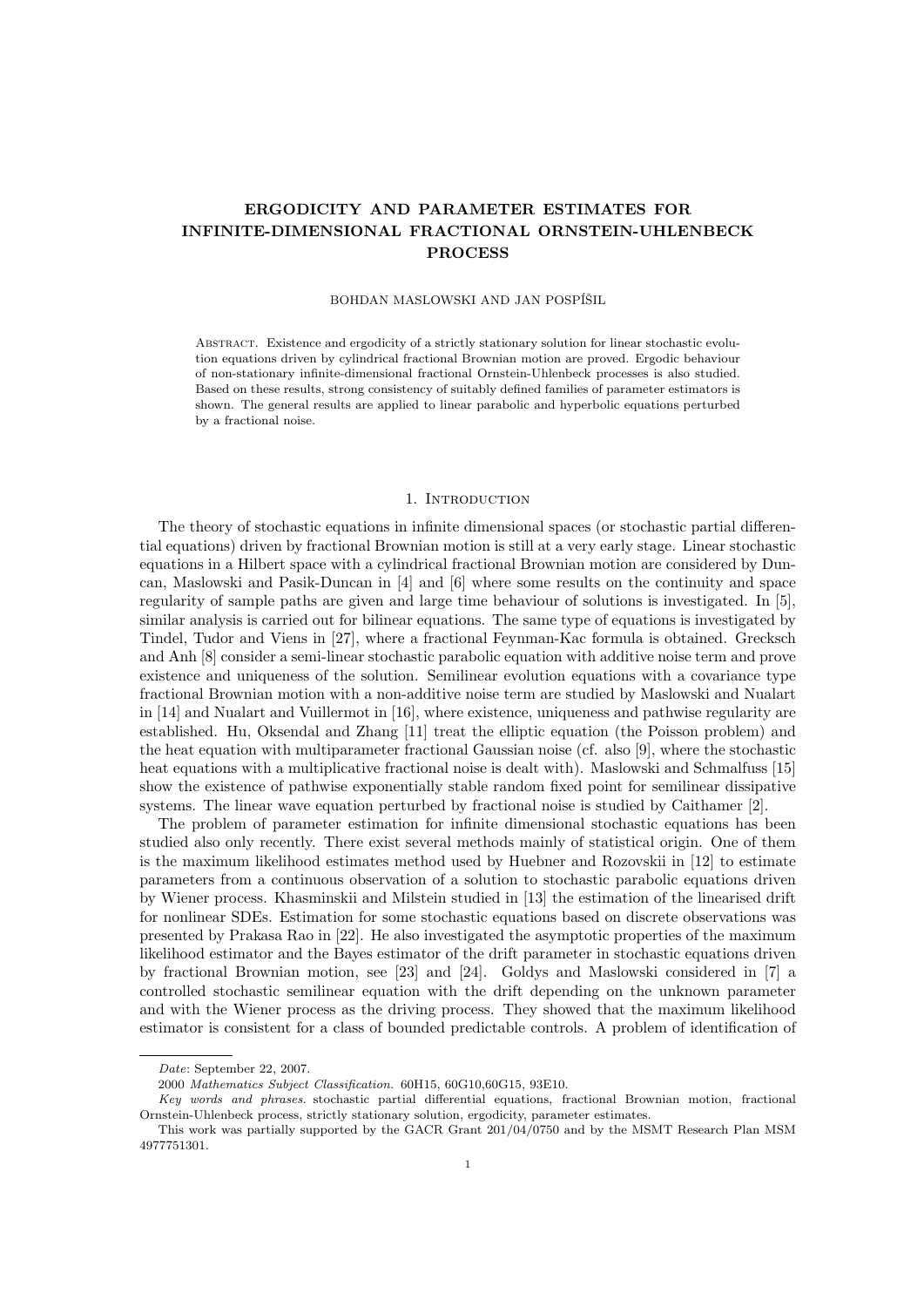## ERGODICITY AND PARAMETER ESTIMATES FOR INFINITE-DIMENSIONAL FRACTIONAL ORNSTEIN-UHLENBECK PROCESS

#### BOHDAN MASLOWSKI AND JAN POSPÍŠIL

Abstract. Existence and ergodicity of a strictly stationary solution for linear stochastic evolution equations driven by cylindrical fractional Brownian motion are proved. Ergodic behaviour of non-stationary infinite-dimensional fractional Ornstein-Uhlenbeck processes is also studied. Based on these results, strong consistency of suitably defined families of parameter estimators is shown. The general results are applied to linear parabolic and hyperbolic equations perturbed by a fractional noise.

#### 1. INTRODUCTION

The theory of stochastic equations in infinite dimensional spaces (or stochastic partial differential equations) driven by fractional Brownian motion is still at a very early stage. Linear stochastic equations in a Hilbert space with a cylindrical fractional Brownian motion are considered by Duncan, Maslowski and Pasik-Duncan in [4] and [6] where some results on the continuity and space regularity of sample paths are given and large time behaviour of solutions is investigated. In [5], similar analysis is carried out for bilinear equations. The same type of equations is investigated by Tindel, Tudor and Viens in [27], where a fractional Feynman-Kac formula is obtained. Grecksch and Anh [8] consider a semi-linear stochastic parabolic equation with additive noise term and prove existence and uniqueness of the solution. Semilinear evolution equations with a covariance type fractional Brownian motion with a non-additive noise term are studied by Maslowski and Nualart in [14] and Nualart and Vuillermot in [16], where existence, uniqueness and pathwise regularity are established. Hu, Oksendal and Zhang [11] treat the elliptic equation (the Poisson problem) and the heat equation with multiparameter fractional Gaussian noise (cf. also [9], where the stochastic heat equations with a multiplicative fractional noise is dealt with). Maslowski and Schmalfuss [15] show the existence of pathwise exponentially stable random fixed point for semilinear dissipative systems. The linear wave equation perturbed by fractional noise is studied by Caithamer [2].

The problem of parameter estimation for infinite dimensional stochastic equations has been studied also only recently. There exist several methods mainly of statistical origin. One of them is the maximum likelihood estimates method used by Huebner and Rozovskii in [12] to estimate parameters from a continuous observation of a solution to stochastic parabolic equations driven by Wiener process. Khasminskii and Milstein studied in [13] the estimation of the linearised drift for nonlinear SDEs. Estimation for some stochastic equations based on discrete observations was presented by Prakasa Rao in [22]. He also investigated the asymptotic properties of the maximum likelihood estimator and the Bayes estimator of the drift parameter in stochastic equations driven by fractional Brownian motion, see [23] and [24]. Goldys and Maslowski considered in [7] a controlled stochastic semilinear equation with the drift depending on the unknown parameter and with the Wiener process as the driving process. They showed that the maximum likelihood estimator is consistent for a class of bounded predictable controls. A problem of identification of

Date: September 22, 2007.

<sup>2000</sup> Mathematics Subject Classification. 60H15, 60G10,60G15, 93E10.

Key words and phrases. stochastic partial differential equations, fractional Brownian motion, fractional Ornstein-Uhlenbeck process, strictly stationary solution, ergodicity, parameter estimates.

This work was partially supported by the GACR Grant 201/04/0750 and by the MSMT Research Plan MSM 4977751301.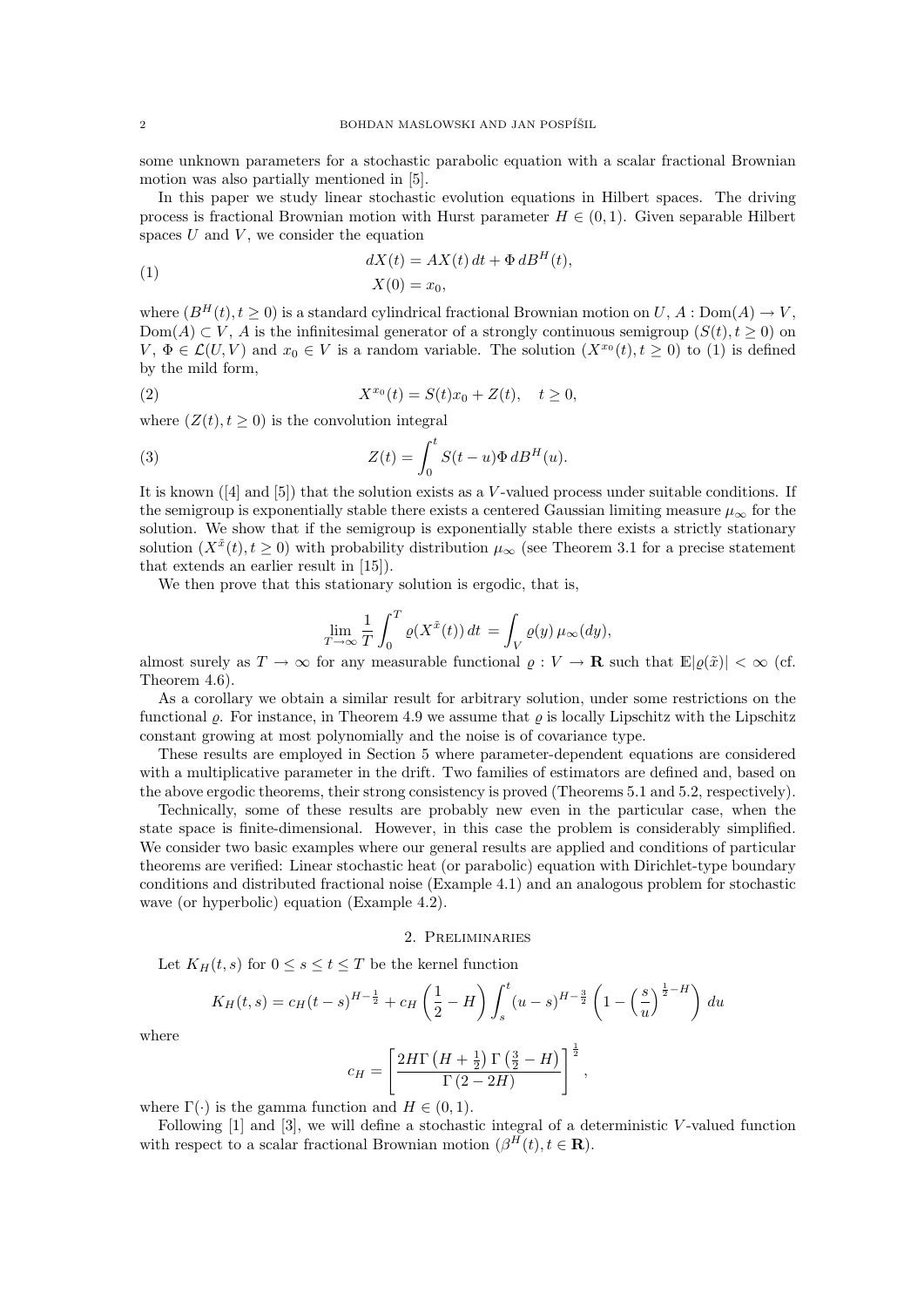some unknown parameters for a stochastic parabolic equation with a scalar fractional Brownian motion was also partially mentioned in [5].

In this paper we study linear stochastic evolution equations in Hilbert spaces. The driving process is fractional Brownian motion with Hurst parameter  $H \in (0,1)$ . Given separable Hilbert spaces  $U$  and  $V$ , we consider the equation

(1) 
$$
dX(t) = AX(t) dt + \Phi dB^{H}(t),
$$

$$
X(0) = x_0,
$$

where  $(B^H(t), t \ge 0)$  is a standard cylindrical fractional Brownian motion on  $U, A : Dom(A) \to V$ , Dom(A)  $\subset V$ , A is the infinitesimal generator of a strongly continuous semigroup  $(S(t), t \ge 0)$  on  $V, \Phi \in \mathcal{L}(U, V)$  and  $x_0 \in V$  is a random variable. The solution  $(X^{x_0}(t), t \ge 0)$  to (1) is defined by the mild form,

(2) 
$$
X^{x_0}(t) = S(t)x_0 + Z(t), \quad t \ge 0,
$$

where  $(Z(t), t \geq 0)$  is the convolution integral

(3) 
$$
Z(t) = \int_0^t S(t - u) \Phi \, dB^H(u).
$$

It is known  $(4]$  and  $[5]$ ) that the solution exists as a V-valued process under suitable conditions. If the semigroup is exponentially stable there exists a centered Gaussian limiting measure  $\mu_{\infty}$  for the solution. We show that if the semigroup is exponentially stable there exists a strictly stationary solution  $(X^{\tilde{x}}(t), t \geq 0)$  with probability distribution  $\mu_{\infty}$  (see Theorem 3.1 for a precise statement that extends an earlier result in [15]).

We then prove that this stationary solution is ergodic, that is,

$$
\lim_{T \to \infty} \frac{1}{T} \int_0^T \varrho(X^{\tilde{x}}(t)) dt = \int_V \varrho(y) \mu_\infty(dy),
$$

almost surely as  $T \to \infty$  for any measurable functional  $\varrho : V \to \mathbf{R}$  such that  $\mathbb{E}|\varrho(\tilde{x})| < \infty$  (cf. Theorem 4.6).

As a corollary we obtain a similar result for arbitrary solution, under some restrictions on the functional  $\rho$ . For instance, in Theorem 4.9 we assume that  $\rho$  is locally Lipschitz with the Lipschitz constant growing at most polynomially and the noise is of covariance type.

These results are employed in Section 5 where parameter-dependent equations are considered with a multiplicative parameter in the drift. Two families of estimators are defined and, based on the above ergodic theorems, their strong consistency is proved (Theorems 5.1 and 5.2, respectively).

Technically, some of these results are probably new even in the particular case, when the state space is finite-dimensional. However, in this case the problem is considerably simplified. We consider two basic examples where our general results are applied and conditions of particular theorems are verified: Linear stochastic heat (or parabolic) equation with Dirichlet-type boundary conditions and distributed fractional noise (Example 4.1) and an analogous problem for stochastic wave (or hyperbolic) equation (Example 4.2).

#### 2. Preliminaries

Let  $K_H(t, s)$  for  $0 \leq s \leq t \leq T$  be the kernel function

$$
K_H(t,s) = c_H(t-s)^{H-\frac{1}{2}} + c_H\left(\frac{1}{2} - H\right) \int_s^t (u-s)^{H-\frac{3}{2}} \left(1 - \left(\frac{s}{u}\right)^{\frac{1}{2} - H}\right) du
$$

where

$$
c_H = \left[\frac{2H\Gamma\left(H + \frac{1}{2}\right)\Gamma\left(\frac{3}{2} - H\right)}{\Gamma\left(2 - 2H\right)}\right]^{\frac{1}{2}},
$$

where  $\Gamma(\cdot)$  is the gamma function and  $H \in (0, 1)$ .

Following  $[1]$  and  $[3]$ , we will define a stochastic integral of a deterministic V-valued function with respect to a scalar fractional Brownian motion  $(\beta^{H}(t), t \in \mathbf{R})$ .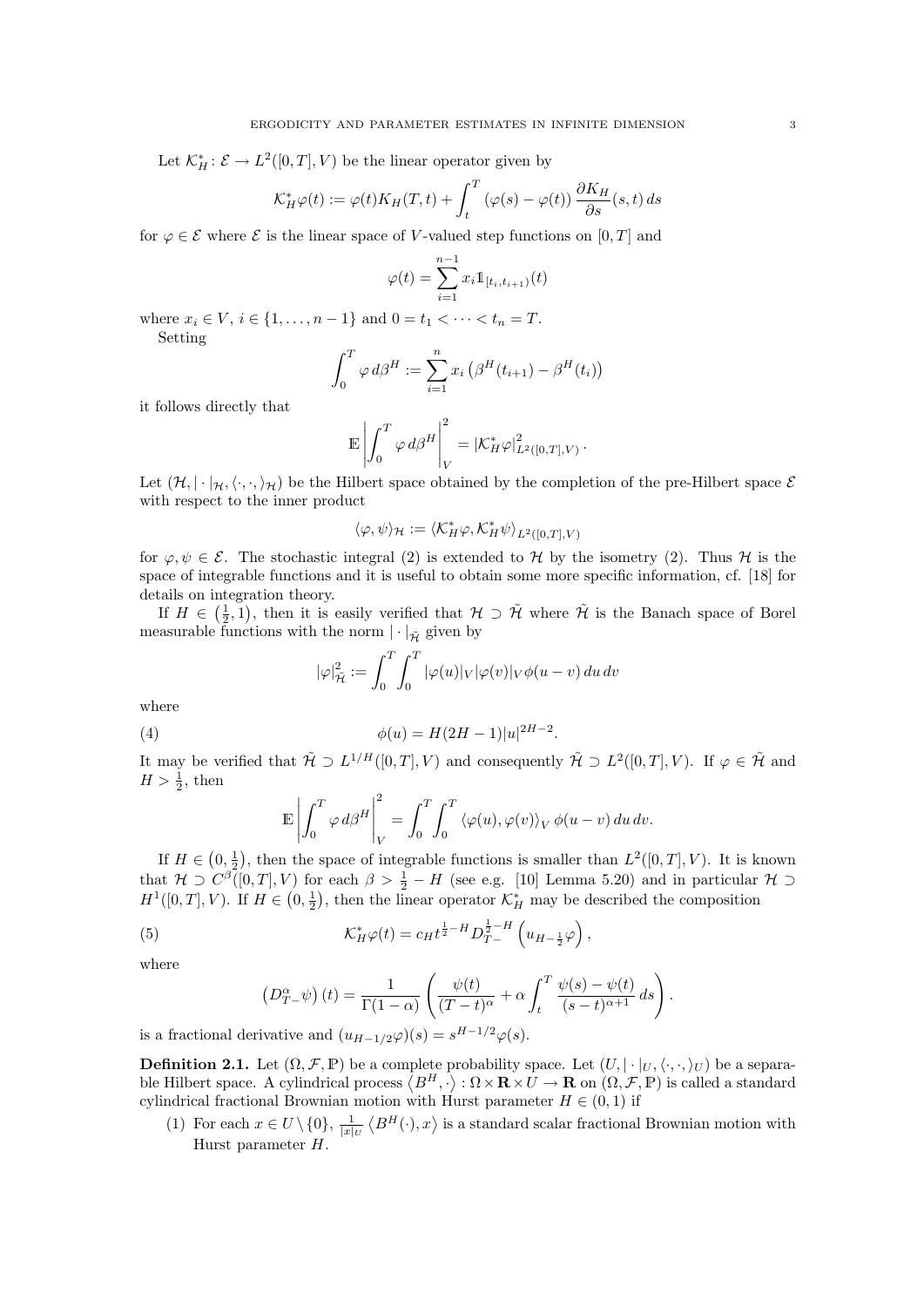Let  $\mathcal{K}_H^* : \mathcal{E} \to L^2([0,T], V)$  be the linear operator given by

$$
\mathcal{K}_H^*\varphi(t) := \varphi(t)K_H(T,t) + \int_t^T (\varphi(s) - \varphi(t)) \frac{\partial K_H}{\partial s}(s,t) ds
$$

for  $\varphi \in \mathcal{E}$  where  $\mathcal{E}$  is the linear space of V-valued step functions on [0, T] and

$$
\varphi(t) = \sum_{i=1}^{n-1} x_i \mathbb{1}_{[t_i, t_{i+1})}(t)
$$

where  $x_i \in V$ ,  $i \in \{1, ..., n-1\}$  and  $0 = t_1 < \cdots < t_n = T$ . Setting

$$
\int_0^T \varphi \, d\beta^H := \sum_{i=1}^n x_i \left( \beta^H(t_{i+1}) - \beta^H(t_i) \right)
$$

it follows directly that

$$
\mathbb{E}\left|\int_0^T\varphi\,d\beta^H\right|_V^2=|\mathcal{K}_H^*\varphi|_{L^2([0,T],V)}^2.
$$

Let  $(\mathcal{H}, |\cdot|_{\mathcal{H}}, \langle \cdot, \cdot, \cdot \rangle_{\mathcal{H}})$  be the Hilbert space obtained by the completion of the pre-Hilbert space  $\mathcal{E}$ with respect to the inner product

$$
\langle \varphi, \psi \rangle_{\mathcal{H}} := \langle \mathcal{K}^*_{H} \varphi, \mathcal{K}^*_{H} \psi \rangle_{L^2([0,T],V)}
$$

for  $\varphi, \psi \in \mathcal{E}$ . The stochastic integral (2) is extended to H by the isometry (2). Thus H is the space of integrable functions and it is useful to obtain some more specific information, cf. [18] for details on integration theory.

If  $H \in (\frac{1}{2}, 1)$ , then it is easily verified that  $H \supset \tilde{H}$  where  $\tilde{H}$  is the Banach space of Borel measurable functions with the norm  $|\cdot|_{\tilde{\mathcal{H}}}$  given by

$$
|\varphi|_{\tilde{\mathcal{H}}}^2 := \int_0^T \int_0^T |\varphi(u)|_V |\varphi(v)|_V \phi(u-v) du dv
$$

where

(4) 
$$
\phi(u) = H(2H - 1)|u|^{2H - 2}.
$$

It may be verified that  $\tilde{\mathcal{H}} \supset L^{1/H}([0,T],V)$  and consequently  $\tilde{\mathcal{H}} \supset L^2([0,T],V)$ . If  $\varphi \in \tilde{\mathcal{H}}$  and  $H > \frac{1}{2}$ , then

$$
\mathbb{E}\left|\int_0^T \varphi \,d\beta^H\right|_V^2 = \int_0^T \int_0^T \langle\varphi(u), \varphi(v)\rangle_V \, \phi(u-v) \, du \, dv.
$$

If  $H \in (0, \frac{1}{2})$ , then the space of integrable functions is smaller than  $L^2([0, T], V)$ . It is known that  $\mathcal{H} \supset C^{\beta}([0,T], V)$  for each  $\beta > \frac{1}{2} - H$  (see e.g. [10] Lemma 5.20) and in particular  $\mathcal{H} \supset$  $H^1([0,T], V)$ . If  $H \in (0, \frac{1}{2})$ , then the linear operator  $\mathcal{K}^*$  may be described the composition

(5) 
$$
\mathcal{K}_H^* \varphi(t) = c_H t^{\frac{1}{2} - H} D_{T-}^{\frac{1}{2} - H} \left( u_{H-\frac{1}{2}} \varphi \right),
$$

where

$$
\left(D_{T-\psi}^{\alpha}\right)(t) = \frac{1}{\Gamma(1-\alpha)} \left(\frac{\psi(t)}{(T-t)^{\alpha}} + \alpha \int_{t}^{T} \frac{\psi(s) - \psi(t)}{(s-t)^{\alpha+1}} ds\right).
$$

is a fractional derivative and  $(u_{H-1/2}\varphi)(s) = s^{H-1/2}\varphi(s)$ .

**Definition 2.1.** Let  $(\Omega, \mathcal{F}, \mathbb{P})$  be a complete probability space. Let  $(U, |\cdot|_U, \langle \cdot, \cdot, \cdot \rangle_U)$  be a separable Hilbert space. A cylindrical process  $\langle B^H, \cdot \rangle : \Omega \times \mathbf{R} \times U \to \mathbf{R}$  on  $(\Omega, \mathcal{F}, \mathbb{P})$  is called a standard cylindrical fractional Brownian motion with Hurst parameter  $H \in (0, 1)$  if

(1) For each  $x \in U \setminus \{0\}$ ,  $\frac{1}{|x|_U} \langle B^H(\cdot), x \rangle$  is a standard scalar fractional Brownian motion with Hurst parameter H.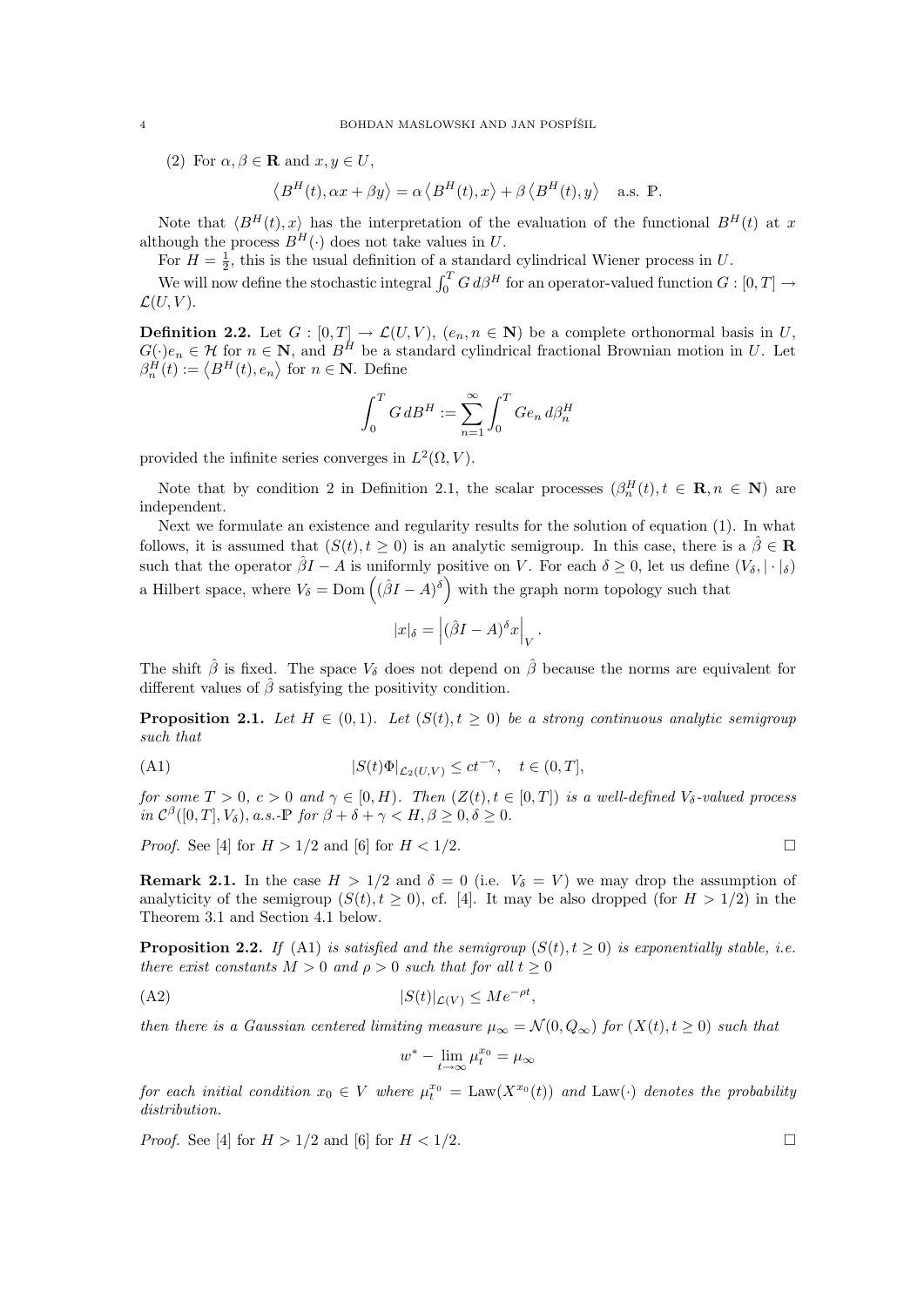(2) For  $\alpha, \beta \in \mathbf{R}$  and  $x, y \in U$ ,

$$
\left\langle B^{H}(t), \alpha x + \beta y \right\rangle = \alpha \left\langle B^{H}(t), x \right\rangle + \beta \left\langle B^{H}(t), y \right\rangle \quad \text{a.s. } \mathbb{P}.
$$

Note that  $\langle B^H(t), x \rangle$  has the interpretation of the evaluation of the functional  $B^H(t)$  at x although the process  $B^H(\cdot)$  does not take values in U.

For  $H = \frac{1}{2}$ , this is the usual definition of a standard cylindrical Wiener process in U.

We will now define the stochastic integral  $\int_0^T G d\beta^H$  for an operator-valued function  $G : [0, T] \rightarrow$  $\mathcal{L}(U, V)$ .

**Definition 2.2.** Let  $G : [0, T] \to \mathcal{L}(U, V)$ ,  $(e_n, n \in \mathbb{N})$  be a complete orthonormal basis in U,  $G(\cdot)e_n \in \mathcal{H}$  for  $n \in \mathbb{N}$ , and  $B^H$  be a standard cylindrical fractional Brownian motion in U. Let  $\beta_n^H(t) := \langle B^H(t), e_n \rangle$  for  $n \in \mathbb{N}$ . Define

$$
\int_0^T G \, dB^H := \sum_{n=1}^\infty \int_0^T G e_n \, d\beta_n^H
$$

provided the infinite series converges in  $L^2(\Omega, V)$ .

Note that by condition 2 in Definition 2.1, the scalar processes  $(\beta_n^H(t), t \in \mathbb{R}, n \in \mathbb{N})$  are independent.

Next we formulate an existence and regularity results for the solution of equation (1). In what follows, it is assumed that  $(S(t), t \geq 0)$  is an analytic semigroup. In this case, there is a  $\hat{\beta} \in \mathbb{R}$ such that the operator  $\hat{\beta}I - A$  is uniformly positive on V. For each  $\delta \geq 0$ , let us define  $(V_{\delta}, |\cdot|_{\delta})$ a Hilbert space, where  $V_{\delta} = \text{Dom} \left( (\hat{\beta}I - A)^{\delta} \right)$  with the graph norm topology such that

$$
|x|_{\delta} = |(\hat{\beta}I - A)^{\delta}x|_{V}.
$$

The shift  $\hat{\beta}$  is fixed. The space  $V_{\delta}$  does not depend on  $\hat{\beta}$  because the norms are equivalent for different values of  $\hat{\beta}$  satisfying the positivity condition.

**Proposition 2.1.** Let  $H \in (0,1)$ . Let  $(S(t), t \geq 0)$  be a strong continuous analytic semigroup such that

(A1) 
$$
|S(t)\Phi|_{\mathcal{L}_2(U,V)} \le ct^{-\gamma}, \quad t \in (0,T],
$$

for some  $T > 0$ ,  $c > 0$  and  $\gamma \in [0, H)$ . Then  $(Z(t), t \in [0, T])$  is a well-defined  $V_{\delta}$ -valued process in  $\mathcal{C}^{\beta}([0,T], V_{\delta}),$  a.s.-P for  $\beta + \delta + \gamma < H, \beta \geq 0, \delta \geq 0$ .

*Proof.* See [4] for  $H > 1/2$  and [6] for  $H < 1/2$ .

**Remark 2.1.** In the case  $H > 1/2$  and  $\delta = 0$  (i.e.  $V_{\delta} = V$ ) we may drop the assumption of analyticity of the semigroup  $(S(t), t \ge 0)$ , cf. [4]. It may be also dropped (for  $H > 1/2$ ) in the Theorem 3.1 and Section 4.1 below.

**Proposition 2.2.** If (A1) is satisfied and the semigroup  $(S(t), t \ge 0)$  is exponentially stable, i.e. there exist constants  $M > 0$  and  $\rho > 0$  such that for all  $t \geq 0$ 

$$
(A2) \t\t |S(t)|_{\mathcal{L}(V)} \le Me^{-\rho t},
$$

then there is a Gaussian centered limiting measure  $\mu_{\infty} = \mathcal{N}(0, Q_{\infty})$  for  $(X(t), t \geq 0)$  such that

$$
w^*-\lim_{t\to\infty}\mu_t^{x_0}=\mu_\infty
$$

for each initial condition  $x_0 \in V$  where  $\mu_t^{x_0} = \text{Law}(X^{x_0}(t))$  and  $\text{Law}(\cdot)$  denotes the probability distribution.

*Proof.* See [4] for  $H > 1/2$  and [6] for  $H < 1/2$ .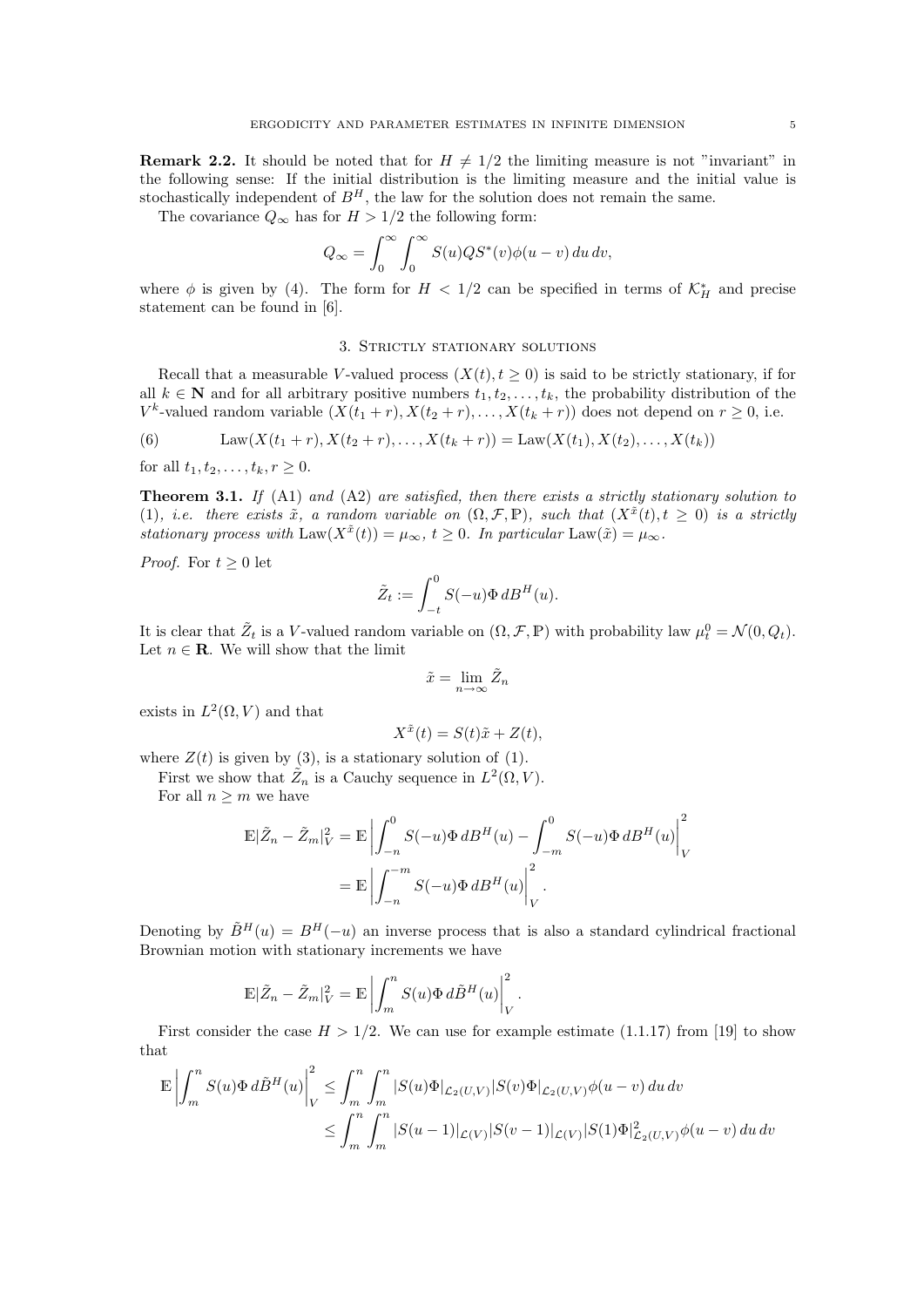**Remark 2.2.** It should be noted that for  $H \neq 1/2$  the limiting measure is not "invariant" in the following sense: If the initial distribution is the limiting measure and the initial value is stochastically independent of  $B<sup>H</sup>$ , the law for the solution does not remain the same.

The covariance  $Q_{\infty}$  has for  $H > 1/2$  the following form:

$$
Q_{\infty} = \int_0^{\infty} \int_0^{\infty} S(u)QS^*(v)\phi(u-v) du dv,
$$

where  $\phi$  is given by (4). The form for  $H < 1/2$  can be specified in terms of  $\mathcal{K}_H^*$  and precise statement can be found in [6].

#### 3. Strictly stationary solutions

Recall that a measurable V-valued process  $(X(t), t > 0)$  is said to be strictly stationary, if for all  $k \in \mathbb{N}$  and for all arbitrary positive numbers  $t_1, t_2, \ldots, t_k$ , the probability distribution of the  $V^k$ -valued random variable  $(X(t_1 + r), X(t_2 + r), \ldots, X(t_k + r))$  does not depend on  $r \geq 0$ , i.e.

(6) 
$$
Law(X(t_1 + r), X(t_2 + r), \dots, X(t_k + r)) = Law(X(t_1), X(t_2), \dots, X(t_k))
$$

for all  $t_1, t_2, \ldots, t_k, r \geq 0$ .

**Theorem 3.1.** If (A1) and (A2) are satisfied, then there exists a strictly stationary solution to (1), i.e. there exists  $\tilde{x}$ , a random variable on  $(\Omega, \mathcal{F}, \mathbb{P})$ , such that  $(X^{\tilde{x}}(t), t \geq 0)$  is a strictly stationary process with  $\text{Law}(X^{\tilde{x}}(t)) = \mu_{\infty}, t \geq 0$ . In particular  $\text{Law}(\tilde{x}) = \mu_{\infty}$ .

*Proof.* For  $t \geq 0$  let

$$
\tilde{Z}_t := \int_{-t}^0 S(-u)\Phi \, dB^H(u).
$$

It is clear that  $\tilde{Z}_t$  is a V-valued random variable on  $(\Omega, \mathcal{F}, \mathbb{P})$  with probability law  $\mu_t^0 = \mathcal{N}(0, Q_t)$ . Let  $n \in \mathbf{R}$ . We will show that the limit

$$
\tilde{x} = \lim_{n \to \infty} \tilde{Z}_n
$$

exists in  $L^2(\Omega, V)$  and that

$$
X^{\tilde{x}}(t) = S(t)\tilde{x} + Z(t),
$$

where  $Z(t)$  is given by (3), is a stationary solution of (1).

First we show that  $\tilde{Z}_n$  is a Cauchy sequence in  $L^2(\Omega, V)$ . For all  $n \geq m$  we have

$$
\mathbb{E}|\tilde{Z}_n - \tilde{Z}_m|_V^2 = \mathbb{E}\left|\int_{-n}^0 S(-u)\Phi \, dB^H(u) - \int_{-m}^0 S(-u)\Phi \, dB^H(u)\right|_V^2
$$

$$
= \mathbb{E}\left|\int_{-n}^{-m} S(-u)\Phi \, dB^H(u)\right|_V^2.
$$

Denoting by  $\tilde{B}^{H}(u) = B^{H}(-u)$  an inverse process that is also a standard cylindrical fractional Brownian motion with stationary increments we have

$$
\mathbb{E}|\tilde{Z}_n - \tilde{Z}_m|_V^2 = \mathbb{E}\left|\int_m^n S(u)\Phi \, d\tilde{B}^H(u)\right|_V^2.
$$

First consider the case  $H > 1/2$ . We can use for example estimate (1.1.17) from [19] to show that

$$
\mathbb{E}\left|\int_m^n S(u)\Phi \,d\tilde{B}^H(u)\right|_V^2 \leq \int_m^n \int_m^n |S(u)\Phi|_{\mathcal{L}_2(U,V)}|S(v)\Phi|_{\mathcal{L}_2(U,V)}\phi(u-v) \,du\,dv
$$
  

$$
\leq \int_m^n \int_m^n |S(u-1)|_{\mathcal{L}(V)}|S(v-1)|_{\mathcal{L}(V)}|S(1)\Phi|_{\mathcal{L}_2(U,V)}^2\phi(u-v) \,du\,dv
$$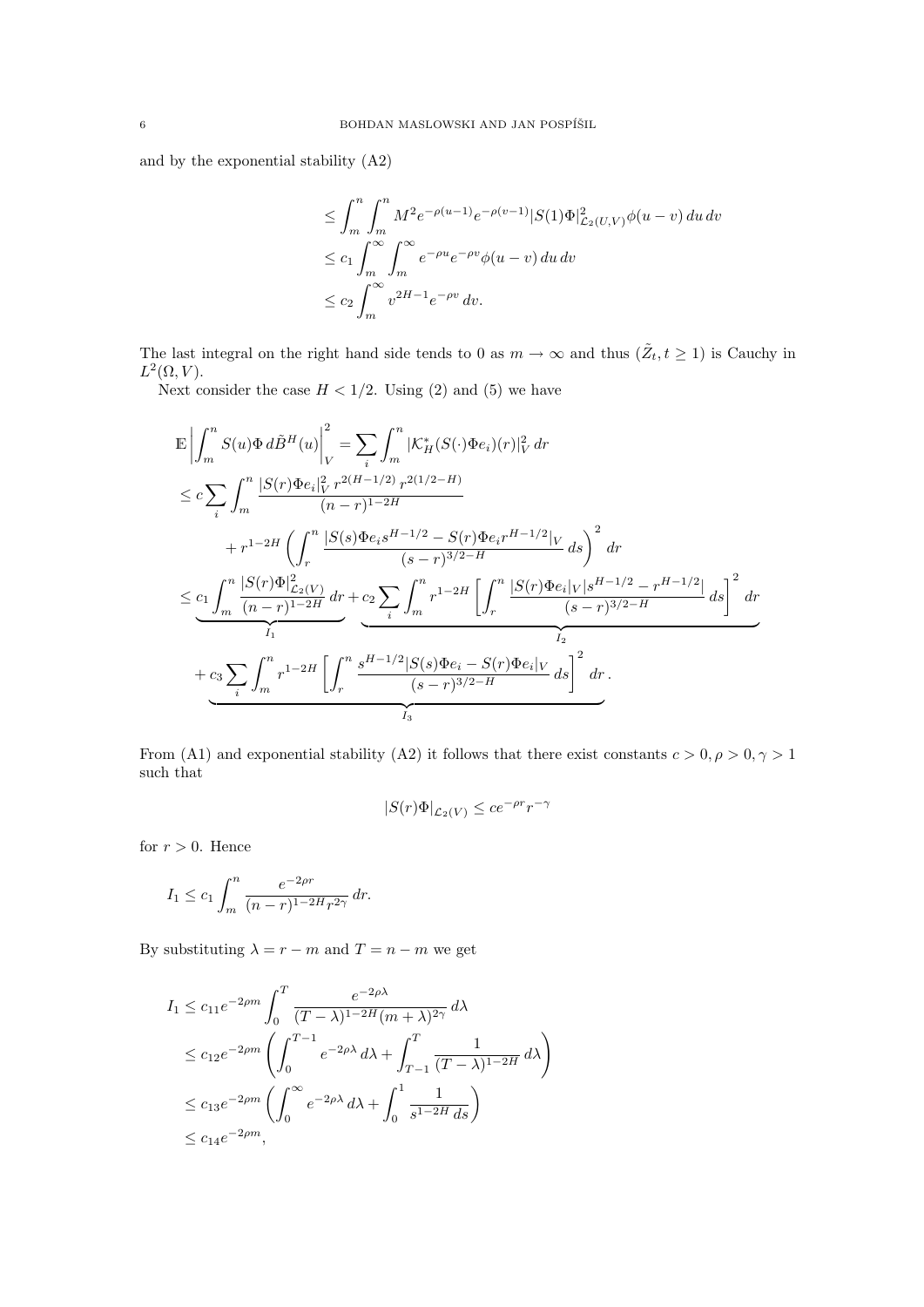and by the exponential stability (A2)

$$
\leq \int_m^n \int_m^n M^2 e^{-\rho(u-1)} e^{-\rho(v-1)} |S(1)\Phi|_{\mathcal{L}_2(U,V)}^2 \phi(u-v) du dv
$$
  
\n
$$
\leq c_1 \int_m^\infty \int_m^\infty e^{-\rho u} e^{-\rho v} \phi(u-v) du dv
$$
  
\n
$$
\leq c_2 \int_m^\infty v^{2H-1} e^{-\rho v} dv.
$$

The last integral on the right hand side tends to 0 as  $m \to \infty$  and thus  $(\tilde{Z}_t, t \ge 1)$  is Cauchy in  $L^2(\Omega,V)$ .

Next consider the case  $H < 1/2$ . Using (2) and (5) we have

$$
\mathbb{E}\left|\int_{m}^{n} S(u)\Phi \,d\tilde{B}^{H}(u)\right|_{V}^{2} = \sum_{i}\int_{m}^{n} |\mathcal{K}_{H}^{*}(S(\cdot)\Phi e_{i})(r)|_{V}^{2} \,dr
$$
\n
$$
\leq c \sum_{i}\int_{m}^{n} \frac{|S(r)\Phi e_{i}|_{V}^{2} r^{2(H-1/2)} r^{2(1/2-H)}}{(n-r)^{1-2H}} + r^{1-2H} \left(\int_{r}^{n} \frac{|S(s)\Phi e_{i}s^{H-1/2} - S(r)\Phi e_{i}r^{H-1/2}|_{V}}{(s-r)^{3/2-H}} ds\right)^{2} dr
$$
\n
$$
\leq \underbrace{c_{1} \int_{m}^{n} \frac{|S(r)\Phi|_{\mathcal{L}_{2}(V)}^{2}}{(n-r)^{1-2H}} dr}_{I_{1}} + \underbrace{c_{2} \sum_{i}\int_{m}^{n} r^{1-2H} \left[\int_{r}^{n} \frac{|S(r)\Phi e_{i}|_{V}|s^{H-1/2} - r^{H-1/2}|}{(s-r)^{3/2-H}} ds\right]^{2} dr}_{I_{2}} + \underbrace{c_{3} \sum_{i}\int_{m}^{n} r^{1-2H} \left[\int_{r}^{n} \frac{s^{H-1/2}|S(s)\Phi e_{i} - S(r)\Phi e_{i}|_{V}}{(s-r)^{3/2-H}} ds\right]^{2} dr}_{I_{3}}.
$$

From (A1) and exponential stability (A2) it follows that there exist constants  $c > 0, \rho > 0, \gamma > 1$ such that

$$
|S(r)\Phi|_{\mathcal{L}_2(V)} \le ce^{-\rho r}r^{-\gamma}
$$

for  $r > 0$ . Hence

$$
I_1 \le c_1 \int_m^n \frac{e^{-2\rho r}}{(n-r)^{1-2H}r^{2\gamma}} dr.
$$

By substituting  $\lambda = r - m$  and  $T = n - m$  we get

$$
I_1 \le c_{11}e^{-2\rho m} \int_0^T \frac{e^{-2\rho\lambda}}{(T-\lambda)^{1-2H}(m+\lambda)^{2\gamma}} d\lambda
$$
  
\n
$$
\le c_{12}e^{-2\rho m} \left(\int_0^{T-1} e^{-2\rho\lambda} d\lambda + \int_{T-1}^T \frac{1}{(T-\lambda)^{1-2H}} d\lambda\right)
$$
  
\n
$$
\le c_{13}e^{-2\rho m} \left(\int_0^{\infty} e^{-2\rho\lambda} d\lambda + \int_0^1 \frac{1}{s^{1-2H} ds}\right)
$$
  
\n
$$
\le c_{14}e^{-2\rho m},
$$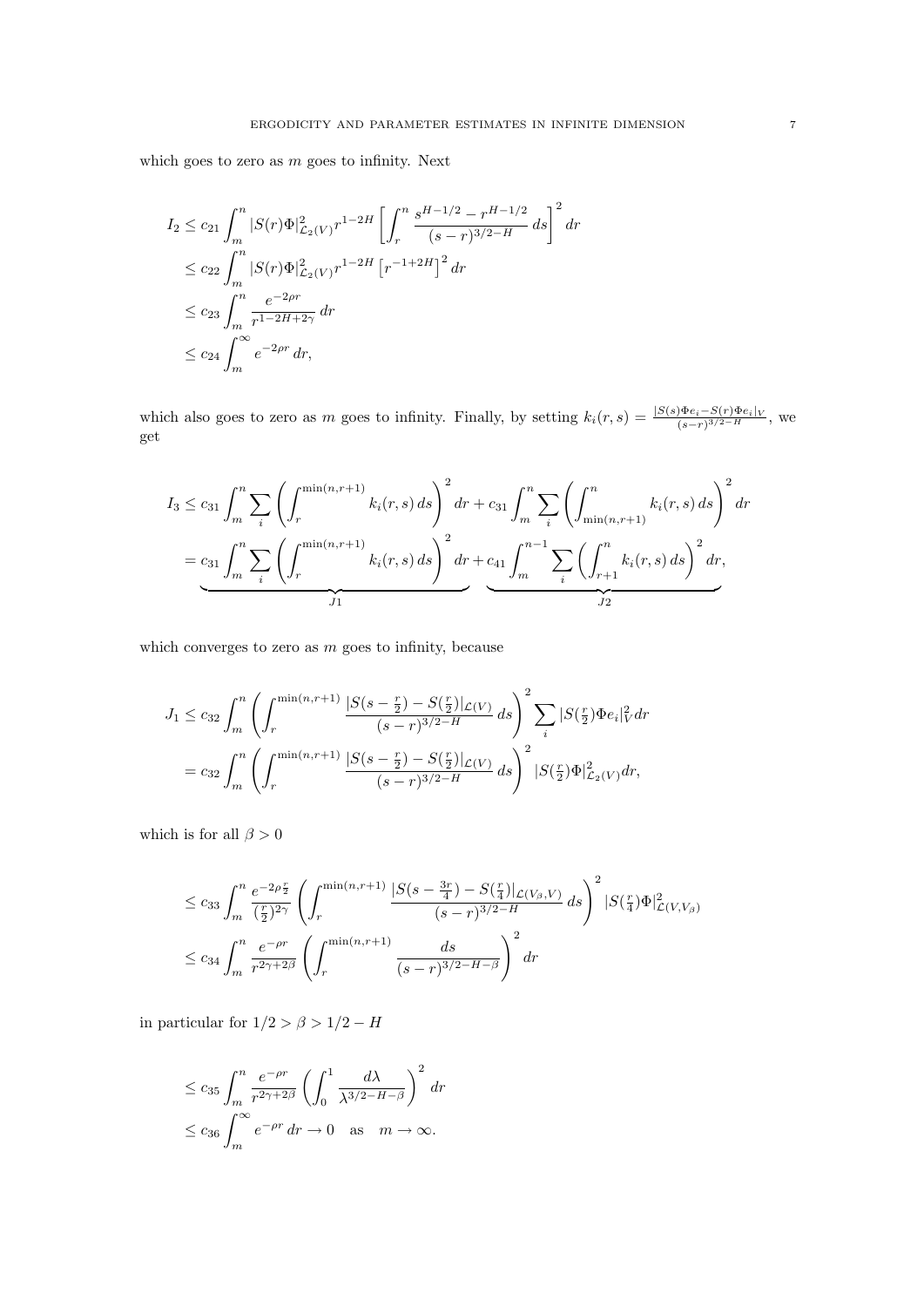which goes to zero as  $m$  goes to infinity. Next

$$
I_2 \le c_{21} \int_m^n |S(r)\Phi|_{\mathcal{L}_2(V)}^2 r^{1-2H} \left[ \int_r^n \frac{s^{H-1/2} - r^{H-1/2}}{(s-r)^{3/2-H}} ds \right]^2 dr
$$
  
\n
$$
\le c_{22} \int_m^n |S(r)\Phi|_{\mathcal{L}_2(V)}^2 r^{1-2H} \left[ r^{-1+2H} \right]^2 dr
$$
  
\n
$$
\le c_{23} \int_m^n \frac{e^{-2\rho r}}{r^{1-2H+2\gamma}} dr
$$
  
\n
$$
\le c_{24} \int_m^\infty e^{-2\rho r} dr,
$$

which also goes to zero as m goes to infinity. Finally, by setting  $k_i(r, s) = \frac{|S(s) \Phi e_i - S(r) \Phi e_i|_V}{(s-r)^{3/2-H}}$ , we get

$$
I_3 \le c_{31} \int_m^n \sum_i \left( \int_r^{\min(n,r+1)} k_i(r,s) \, ds \right)^2 dr + c_{31} \int_m^n \sum_i \left( \int_{\min(n,r+1)}^n k_i(r,s) \, ds \right)^2 dr
$$
  
=  $c_{31} \int_m^n \sum_i \left( \int_r^{\min(n,r+1)} k_i(r,s) \, ds \right)^2 dr + c_{41} \int_m^{n-1} \sum_i \left( \int_{r+1}^n k_i(r,s) \, ds \right)^2 dr$ ,

which converges to zero as  $m$  goes to infinity, because

$$
J_1 \le c_{32} \int_m^n \left( \int_r^{\min(n,r+1)} \frac{|S(s - \frac{r}{2}) - S(\frac{r}{2})|_{\mathcal{L}(V)}}{(s - r)^{3/2 - H}} ds \right)^2 \sum_i |S(\frac{r}{2}) \Phi e_i|_V^2 dr
$$
  
=  $c_{32} \int_m^n \left( \int_r^{\min(n,r+1)} \frac{|S(s - \frac{r}{2}) - S(\frac{r}{2})|_{\mathcal{L}(V)}}{(s - r)^{3/2 - H}} ds \right)^2 |S(\frac{r}{2}) \Phi|_{\mathcal{L}_2(V)}^2 dr,$ 

which is for all  $\beta > 0$ 

$$
\leq c_{33} \int_{m}^{n} \frac{e^{-2\rho\frac{r}{2}}}{(\frac{r}{2})^{2\gamma}} \left( \int_{r}^{\min(n,r+1)} \frac{|S(s - \frac{3r}{4}) - S(\frac{r}{4})|_{\mathcal{L}(V_{\beta}, V)}}{(s - r)^{3/2 - H}} ds \right)^{2} |S(\frac{r}{4})\Phi|_{\mathcal{L}(V, V_{\beta})}^{2}
$$
  

$$
\leq c_{34} \int_{m}^{n} \frac{e^{-\rho r}}{r^{2\gamma + 2\beta}} \left( \int_{r}^{\min(n,r+1)} \frac{ds}{(s - r)^{3/2 - H - \beta}} \right)^{2} dr
$$

in particular for  $1/2 > \beta > 1/2 - H$ 

$$
\leq c_{35} \int_{m}^{n} \frac{e^{-\rho r}}{r^{2\gamma+2\beta}} \left( \int_{0}^{1} \frac{d\lambda}{\lambda^{3/2-H-\beta}} \right)^{2} dr
$$
  

$$
\leq c_{36} \int_{m}^{\infty} e^{-\rho r} dr \to 0 \quad \text{as} \quad m \to \infty.
$$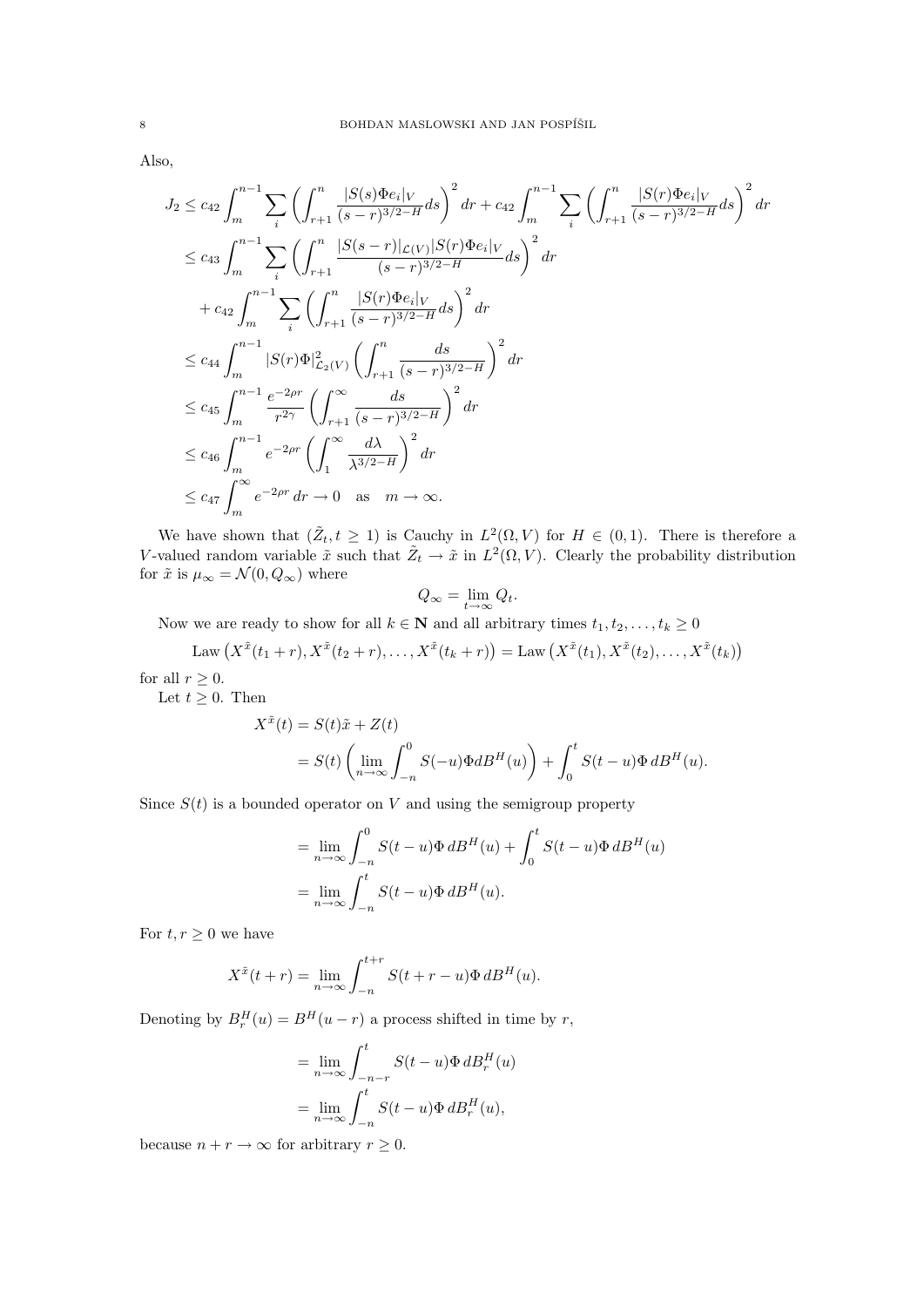Also,

$$
J_2 \leq c_{42} \int_m^{n-1} \sum_i \left( \int_{r+1}^n \frac{|S(s)\Phi e_i|_V}{(s-r)^{3/2-H}} ds \right)^2 dr + c_{42} \int_m^{n-1} \sum_i \left( \int_{r+1}^n \frac{|S(r)\Phi e_i|_V}{(s-r)^{3/2-H}} ds \right)^2 dr
$$
  
\n
$$
\leq c_{43} \int_m^{n-1} \sum_i \left( \int_{r+1}^n \frac{|S(s-r)|_{\mathcal{L}(V)}|S(r)\Phi e_i|_V}{(s-r)^{3/2-H}} ds \right)^2 dr
$$
  
\n
$$
+ c_{42} \int_m^{n-1} \sum_i \left( \int_{r+1}^n \frac{|S(r)\Phi e_i|_V}{(s-r)^{3/2-H}} ds \right)^2 dr
$$
  
\n
$$
\leq c_{44} \int_m^{n-1} |S(r)\Phi|_{\mathcal{L}_2(V)}^2 \left( \int_{r+1}^n \frac{ds}{(s-r)^{3/2-H}} \right)^2 dr
$$
  
\n
$$
\leq c_{45} \int_m^{n-1} \frac{e^{-2\rho r}}{r^{2\gamma}} \left( \int_{r+1}^\infty \frac{ds}{(s-r)^{3/2-H}} \right)^2 dr
$$
  
\n
$$
\leq c_{46} \int_m^{n-1} e^{-2\rho r} \left( \int_1^\infty \frac{d\lambda}{\lambda^{3/2-H}} \right)^2 dr
$$
  
\n
$$
\leq c_{47} \int_m^\infty e^{-2\rho r} dr \to 0 \text{ as } m \to \infty.
$$

We have shown that  $(\tilde{Z}_t, t \geq 1)$  is Cauchy in  $L^2(\Omega, V)$  for  $H \in (0, 1)$ . There is therefore a V-valued random variable  $\tilde{x}$  such that  $\tilde{Z}_t \to \tilde{x}$  in  $L^2(\Omega, V)$ . Clearly the probability distribution for  $\tilde{x}$  is  $\mu_{\infty} = \mathcal{N}(0, Q_{\infty})$  where

$$
Q_{\infty} = \lim_{t \to \infty} Q_t.
$$

Now we are ready to show for all  $k \in \mathbb{N}$  and all arbitrary times  $t_1, t_2, \ldots, t_k \geq 0$ 

Law 
$$
(X^{\tilde{x}}(t_1+r), X^{\tilde{x}}(t_2+r), \dots, X^{\tilde{x}}(t_k+r)) = \text{Law } (X^{\tilde{x}}(t_1), X^{\tilde{x}}(t_2), \dots, X^{\tilde{x}}(t_k))
$$

for all  $r \geq 0$ .

Let  $t \geq 0$ . Then

$$
X^{\tilde{x}}(t) = S(t)\tilde{x} + Z(t)
$$
  
=  $S(t) \left( \lim_{n \to \infty} \int_{-n}^{0} S(-u) \Phi dB^{H}(u) \right) + \int_{0}^{t} S(t-u) \Phi dB^{H}(u).$ 

Since  $S(t)$  is a bounded operator on V and using the semigroup property

$$
= \lim_{n \to \infty} \int_{-n}^{0} S(t - u) \Phi \, dB^{H}(u) + \int_{0}^{t} S(t - u) \Phi \, dB^{H}(u)
$$

$$
= \lim_{n \to \infty} \int_{-n}^{t} S(t - u) \Phi \, dB^{H}(u).
$$

For  $t, r \geq 0$  we have

$$
X^{\tilde{x}}(t+r) = \lim_{n \to \infty} \int_{-n}^{t+r} S(t+r-u) \Phi \, dB^H(u).
$$

Denoting by  $B_r^H(u) = B^H(u - r)$  a process shifted in time by r,

$$
= \lim_{n \to \infty} \int_{-n-r}^{t} S(t-u) \Phi \, dB_r^H(u)
$$

$$
= \lim_{n \to \infty} \int_{-n}^{t} S(t-u) \Phi \, dB_r^H(u),
$$

because  $n + r \to \infty$  for arbitrary  $r \geq 0$ .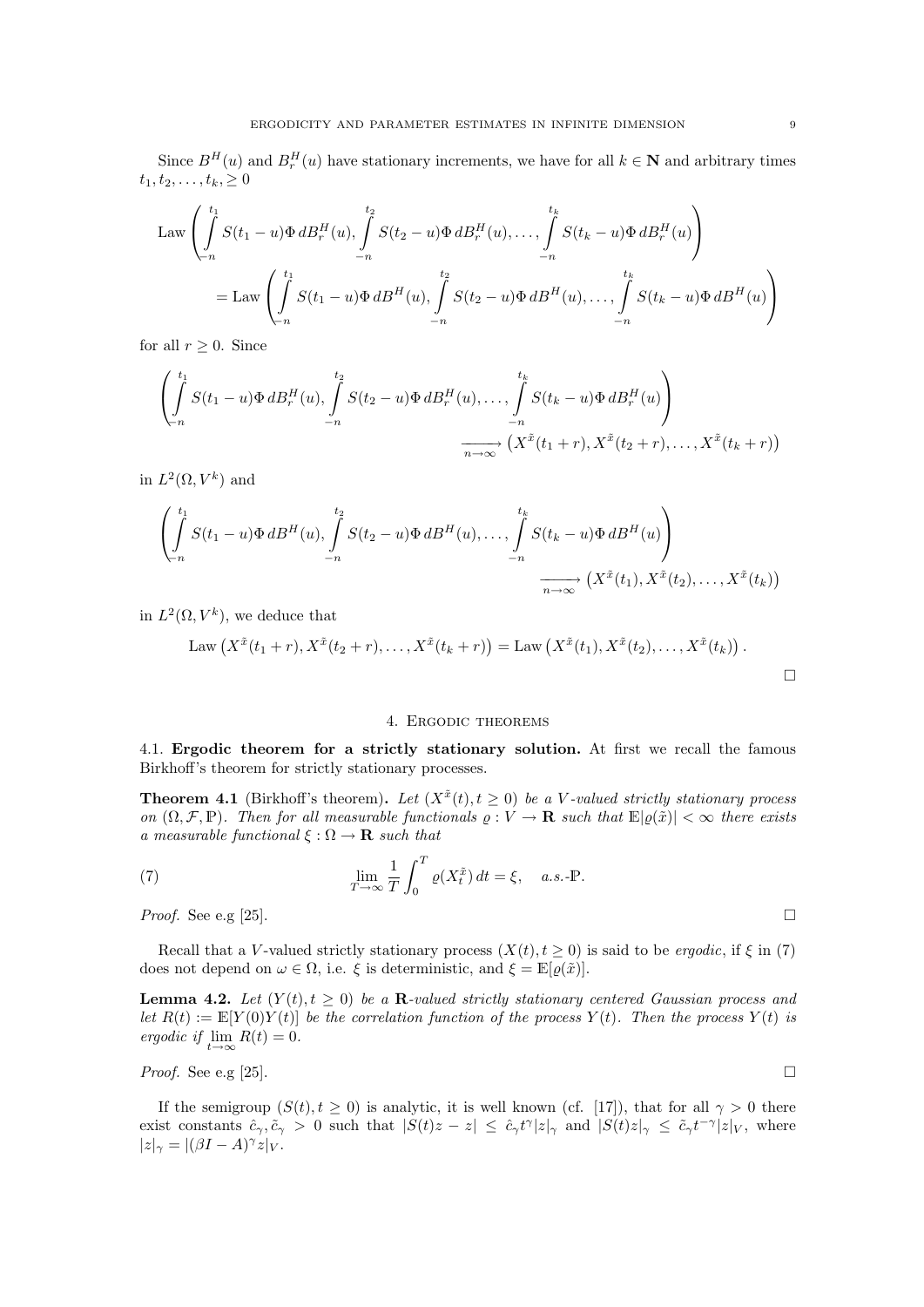Since  $B^{H}(u)$  and  $B^{H}_{r}(u)$  have stationary increments, we have for all  $k \in \mathbb{N}$  and arbitrary times  $t_1, t_2, \ldots, t_k, \geq 0$ 

Law 
$$
\left( \int_{-n}^{t_1} S(t_1 - u) \Phi \, dB_r^H(u), \int_{-n}^{t_2} S(t_2 - u) \Phi \, dB_r^H(u), \dots, \int_{-n}^{t_k} S(t_k - u) \Phi \, dB_r^H(u) \right)
$$
  
= Law 
$$
\left( \int_{-n}^{t_1} S(t_1 - u) \Phi \, dB^H(u), \int_{-n}^{t_2} S(t_2 - u) \Phi \, dB^H(u), \dots, \int_{-n}^{t_k} S(t_k - u) \Phi \, dB^H(u) \right)
$$

for all  $r \geq 0$ . Since

$$
\left(\int_{-n}^{t_1} S(t_1-u)\Phi dB_r^H(u), \int_{-n}^{t_2} S(t_2-u)\Phi dB_r^H(u), \dots, \int_{-n}^{t_k} S(t_k-u)\Phi dB_r^H(u)\right)
$$

$$
\xrightarrow[n\to\infty]{\infty} \left(X^{\tilde{x}}(t_1+r), X^{\tilde{x}}(t_2+r), \dots, X^{\tilde{x}}(t_k+r)\right)
$$

in  $L^2(\Omega, V^k)$  and

$$
\left(\int_{-n}^{t_1} S(t_1-u)\Phi dB^H(u), \int_{-n}^{t_2} S(t_2-u)\Phi dB^H(u), \dots, \int_{-n}^{t_k} S(t_k-u)\Phi dB^H(u)\right) \longrightarrow \left(\frac{\int_{-n}^{t_1} S(t_1-u)\Phi dB^H(u)}{\int_{-n}^{n}\Phi dx^2} \left(X^{\tilde{x}}(t_1), X^{\tilde{x}}(t_2), \dots, X^{\tilde{x}}(t_k)\right)\right)
$$

in  $L^2(\Omega, V^k)$ , we deduce that

Law 
$$
(X^{\tilde{x}}(t_1+r), X^{\tilde{x}}(t_2+r),..., X^{\tilde{x}}(t_k+r)) = \text{Law } (X^{\tilde{x}}(t_1), X^{\tilde{x}}(t_2),..., X^{\tilde{x}}(t_k)).
$$

#### 4. Ergodic theorems

4.1. Ergodic theorem for a strictly stationary solution. At first we recall the famous Birkhoff's theorem for strictly stationary processes.

**Theorem 4.1** (Birkhoff's theorem). Let  $(X^{\tilde{x}}(t), t \geq 0)$  be a V-valued strictly stationary process on  $(\Omega, \mathcal{F}, \mathbb{P})$ . Then for all measurable functionals  $\rho: V \to \mathbf{R}$  such that  $\mathbb{E}|\varrho(\tilde{x})| < \infty$  there exists a measurable functional  $\xi : \Omega \to \mathbf{R}$  such that

(7) 
$$
\lim_{T \to \infty} \frac{1}{T} \int_0^T \varrho(X_t^{\tilde{x}}) dt = \xi, \quad a.s.\text{-P}.
$$

*Proof.* See e.g [25].

Recall that a V-valued strictly stationary process  $(X(t), t \ge 0)$  is said to be *ergodic*, if  $\xi$  in (7) does not depend on  $\omega \in \Omega$ , i.e.  $\xi$  is deterministic, and  $\xi = \mathbb{E}[\varrho(\tilde{x})]$ .

**Lemma 4.2.** Let  $(Y(t), t \ge 0)$  be a R-valued strictly stationary centered Gaussian process and let  $R(t) := \mathbb{E}[Y(0)Y(t)]$  be the correlation function of the process  $Y(t)$ . Then the process  $Y(t)$  is ergodic if  $\lim_{t\to\infty} R(t) = 0.$ 

*Proof.* See e.g [25].

If the semigroup  $(S(t), t \ge 0)$  is analytic, it is well known (cf. [17]), that for all  $\gamma > 0$  there exist constants  $\hat{c}_{\gamma}, \tilde{c}_{\gamma} > 0$  such that  $|S(t)z - z| \leq \hat{c}_{\gamma}t^{\gamma}|z|_{\gamma}$  and  $|S(t)z|_{\gamma} \leq \tilde{c}_{\gamma}t^{-\gamma}|z|_{V}$ , where  $|z|_{\gamma} = |(\beta I - A)^{\gamma} z|_{V}.$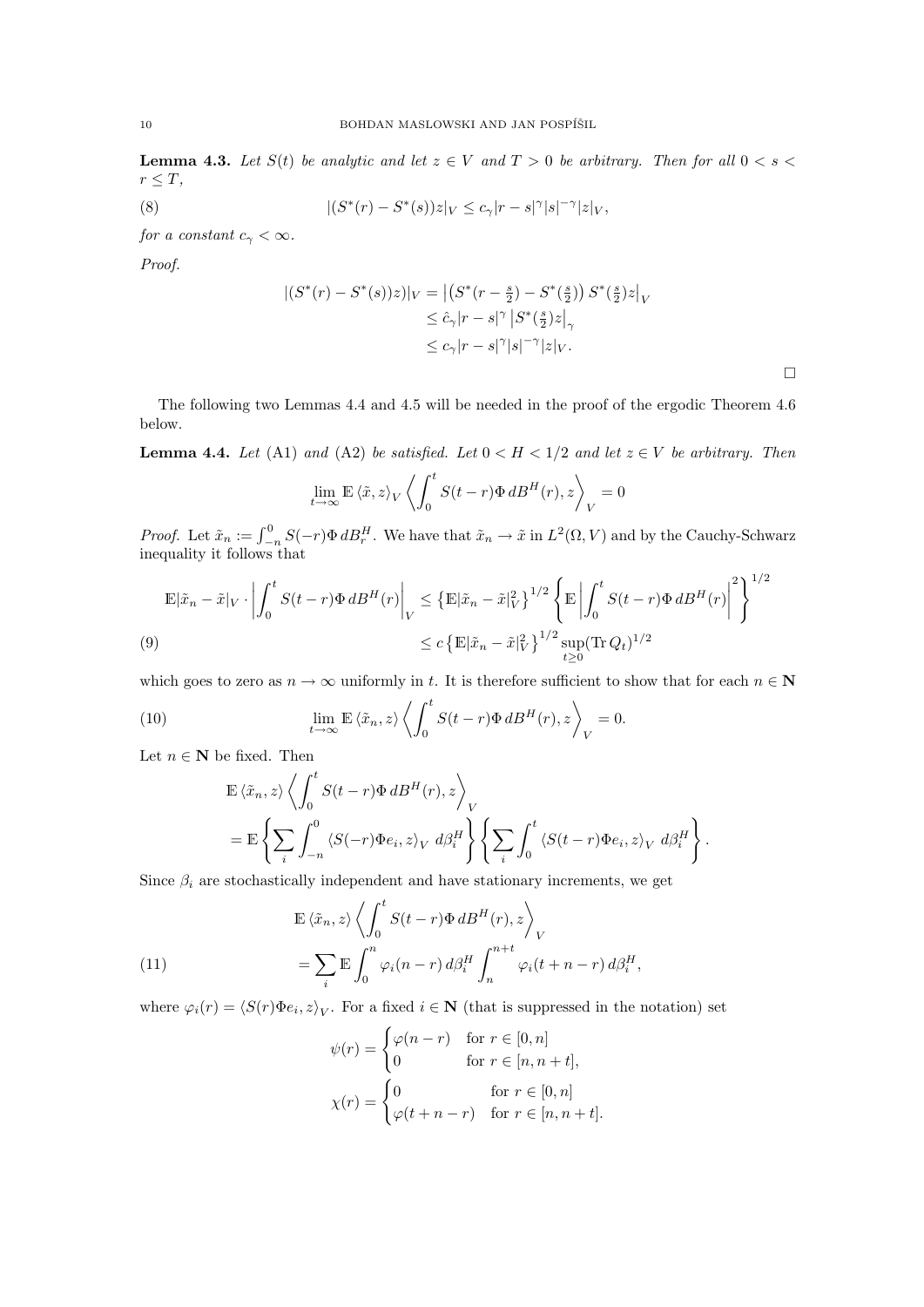**Lemma 4.3.** Let  $S(t)$  be analytic and let  $z \in V$  and  $T > 0$  be arbitrary. Then for all  $0 < s <$  $r \leq T$ ,

(8) 
$$
|(S^*(r) - S^*(s))z|_V \le c_\gamma |r - s|^\gamma |s|^{-\gamma} |z|_V,
$$

for a constant  $c_{\gamma} < \infty$ .

Proof.

$$
\begin{aligned} |(S^*(r) - S^*(s))z)|_V &= \left| \left( S^*(r - \frac{s}{2}) - S^*(\frac{s}{2}) \right) S^*(\frac{s}{2}) z \right|_V \\ &\le \hat{c}_\gamma |r - s|^\gamma \left| S^*(\frac{s}{2}) z \right|_\gamma \\ &\le c_\gamma |r - s|^\gamma |s|^{-\gamma} |z|_V. \end{aligned}
$$

 $\Box$ 

The following two Lemmas 4.4 and 4.5 will be needed in the proof of the ergodic Theorem 4.6 below.

**Lemma 4.4.** Let (A1) and (A2) be satisfied. Let  $0 < H < 1/2$  and let  $z \in V$  be arbitrary. Then

$$
\lim_{t \to \infty} \mathbb{E} \left\langle \tilde{x}, z \right\rangle_V \left\langle \int_0^t S(t - r) \Phi \, dB^H(r), z \right\rangle_V = 0
$$

*Proof.* Let  $\tilde{x}_n := \int_{-n}^0 S(-r) \Phi \, dB_r^H$ . We have that  $\tilde{x}_n \to \tilde{x}$  in  $L^2(\Omega, V)$  and by the Cauchy-Schwarz inequality it follows that

$$
\mathbb{E}|\tilde{x}_n - \tilde{x}|_V \cdot \left| \int_0^t S(t - r) \Phi \, dB^H(r) \right|_V \leq \left\{ \mathbb{E}|\tilde{x}_n - \tilde{x}|_V^2 \right\}^{1/2} \left\{ \mathbb{E} \left| \int_0^t S(t - r) \Phi \, dB^H(r) \right|^2 \right\}^{1/2}
$$
\n
$$
\leq c \left\{ \mathbb{E}|\tilde{x}_n - \tilde{x}|_V^2 \right\}^{1/2} \sup_{t \geq 0} (\text{Tr } Q_t)^{1/2}
$$

which goes to zero as  $n \to \infty$  uniformly in t. It is therefore sufficient to show that for each  $n \in \mathbb{N}$ 

(10) 
$$
\lim_{t \to \infty} \mathbb{E} \langle \tilde{x}_n, z \rangle \left\langle \int_0^t S(t-r) \Phi \, dB^H(r), z \right\rangle_V = 0.
$$

Let  $n \in \mathbb{N}$  be fixed. Then

$$
\mathbb{E}\left\langle \tilde{x}_n, z \right\rangle \left\langle \int_0^t S(t-r)\Phi \, dB^H(r), z \right\rangle_V
$$
  
= 
$$
\mathbb{E}\left\{ \sum_i \int_{-n}^0 \left\langle S(-r)\Phi e_i, z \right\rangle_V d\beta_i^H \right\} \left\{ \sum_i \int_0^t \left\langle S(t-r)\Phi e_i, z \right\rangle_V d\beta_i^H \right\}.
$$

Since  $\beta_i$  are stochastically independent and have stationary increments, we get

(11)  
\n
$$
\mathbb{E} \langle \tilde{x}_n, z \rangle \left\langle \int_0^t S(t-r) \Phi \, dB^H(r), z \right\rangle_V
$$
\n
$$
= \sum_i \mathbb{E} \int_0^n \varphi_i(n-r) \, d\beta_i^H \int_n^{n+t} \varphi_i(t+n-r) \, d\beta_i^H,
$$

where  $\varphi_i(r) = \langle S(r)\Phi e_i, z \rangle_V$ . For a fixed  $i \in \mathbb{N}$  (that is suppressed in the notation) set

$$
\psi(r) = \begin{cases} \varphi(n-r) & \text{for } r \in [0, n] \\ 0 & \text{for } r \in [n, n+t], \end{cases}
$$

$$
\chi(r) = \begin{cases} 0 & \text{for } r \in [0, n] \\ \varphi(t+n-r) & \text{for } r \in [n, n+t]. \end{cases}
$$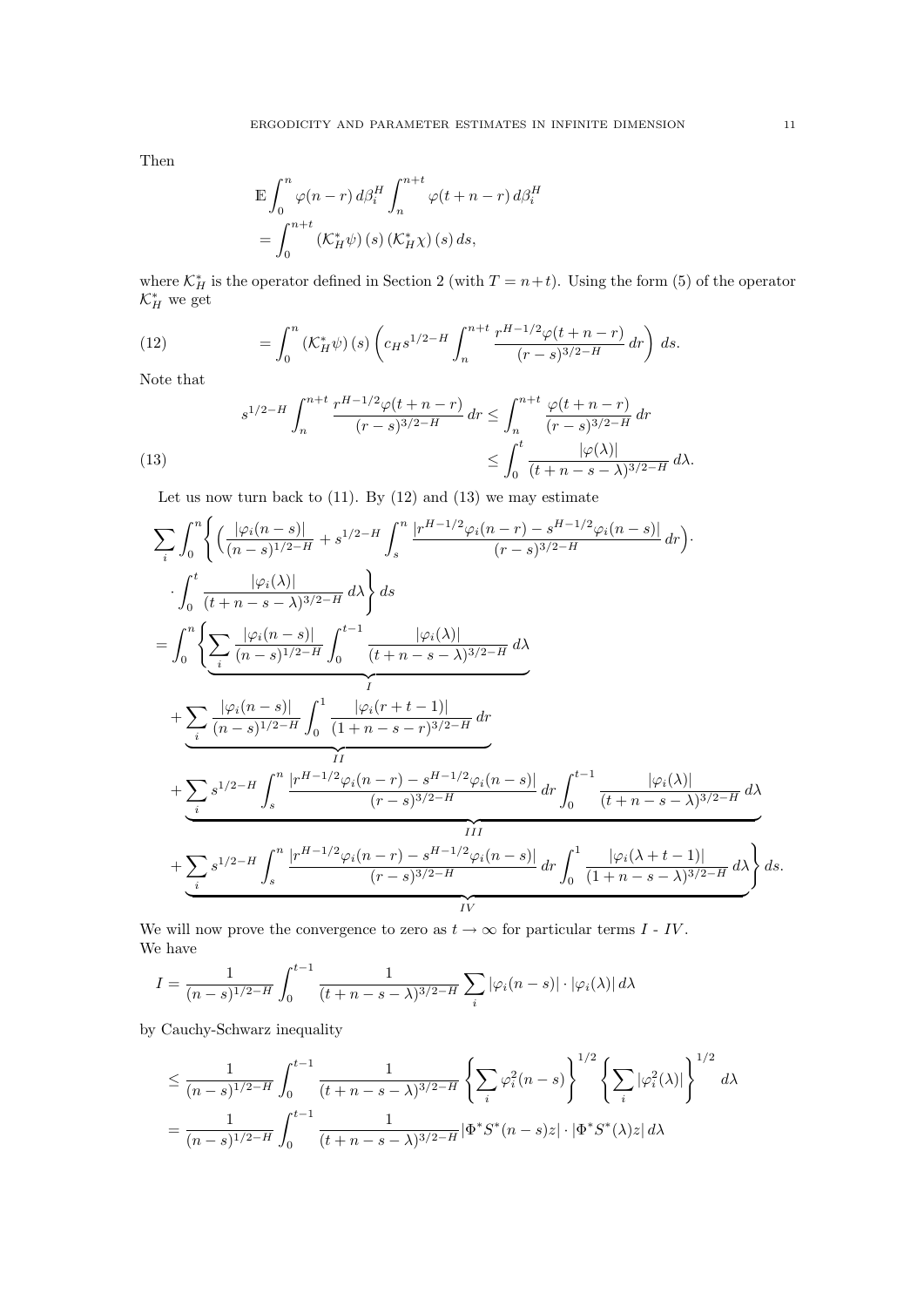Then

$$
\mathbb{E} \int_0^n \varphi(n-r) d\beta_i^H \int_n^{n+t} \varphi(t+n-r) d\beta_i^H
$$
  
= 
$$
\int_0^{n+t} (\mathcal{K}_H^* \psi)(s) (\mathcal{K}_H^* \chi)(s) ds,
$$

where  $\mathcal{K}_H^*$  is the operator defined in Section 2 (with  $T = n + t$ ). Using the form (5) of the operator  $\mathcal{K}_H^*$  we get

(12) 
$$
= \int_0^n \left( K_H^* \psi \right)(s) \left( c_H s^{1/2 - H} \int_n^{n+t} \frac{r^{H-1/2} \varphi(t+n-r)}{(r-s)^{3/2-H}} dr \right) ds.
$$

Note that

(13) 
$$
s^{1/2-H} \int_{n}^{n+t} \frac{r^{H-1/2} \varphi(t+n-r)}{(r-s)^{3/2-H}} dr \leq \int_{n}^{n+t} \frac{\varphi(t+n-r)}{(r-s)^{3/2-H}} dr
$$

$$
\leq \int_{0}^{t} \frac{|\varphi(\lambda)|}{(t+n-s-\lambda)^{3/2-H}} d\lambda.
$$

Let us now turn back to  $(11)$ . By  $(12)$  and  $(13)$  we may estimate

$$
\sum_{i} \int_{0}^{n} \left\{ \left( \frac{|\varphi_{i}(n-s)|}{(n-s)^{1/2-H}} + s^{1/2-H} \int_{s}^{n} \frac{|r^{H-1/2} \varphi_{i}(n-r) - s^{H-1/2} \varphi_{i}(n-s)|}{(r-s)^{3/2-H}} dr \right) \right\} \cdot \int_{0}^{t} \frac{|\varphi_{i}(\lambda)|}{(t+n-s-\lambda)^{3/2-H}} d\lambda \right\} ds
$$
\n
$$
= \int_{0}^{n} \left\{ \sum_{i} \frac{|\varphi_{i}(n-s)|}{(n-s)^{1/2-H}} \int_{0}^{t-1} \frac{|\varphi_{i}(\lambda)|}{(t+n-s-\lambda)^{3/2-H}} d\lambda + \sum_{i} \frac{|\varphi_{i}(n-s)|}{(n-s)^{1/2-H}} \int_{0}^{1} \frac{|\varphi_{i}(r+t-1)|}{(1+n-s-r)^{3/2-H}} dr + \sum_{i} s^{1/2-H} \int_{s}^{n} \frac{|r^{H-1/2} \varphi_{i}(n-r) - s^{H-1/2} \varphi_{i}(n-s)|}{(r-s)^{3/2-H}} dr \int_{0}^{t-1} \frac{|\varphi_{i}(\lambda)|}{(t+n-s-\lambda)^{3/2-H}} d\lambda + \sum_{i} s^{1/2-H} \int_{s}^{n} \frac{|r^{H-1/2} \varphi_{i}(n-r) - s^{H-1/2} \varphi_{i}(n-s)|}{(r-s)^{3/2-H}} dr \int_{0}^{1} \frac{|\varphi_{i}(\lambda+t-1)|}{(1+n-s-\lambda)^{3/2-H}} d\lambda \right\} ds.
$$

We will now prove the convergence to zero as  $t \to \infty$  for particular terms  $I \cdot IV$ . We have

$$
I = \frac{1}{(n-s)^{1/2-H}} \int_0^{t-1} \frac{1}{(t+n-s-\lambda)^{3/2-H}} \sum_i |\varphi_i(n-s)| \cdot |\varphi_i(\lambda)| d\lambda
$$

by Cauchy-Schwarz inequality

$$
\leq \frac{1}{(n-s)^{1/2-H}} \int_0^{t-1} \frac{1}{(t+n-s-\lambda)^{3/2-H}} \left\{ \sum_i \varphi_i^2(n-s) \right\}^{1/2} \left\{ \sum_i |\varphi_i^2(\lambda)| \right\}^{1/2} d\lambda
$$
  
= 
$$
\frac{1}{(n-s)^{1/2-H}} \int_0^{t-1} \frac{1}{(t+n-s-\lambda)^{3/2-H}} |\Phi^* S^*(n-s)z| \cdot |\Phi^* S^*(\lambda)z| d\lambda
$$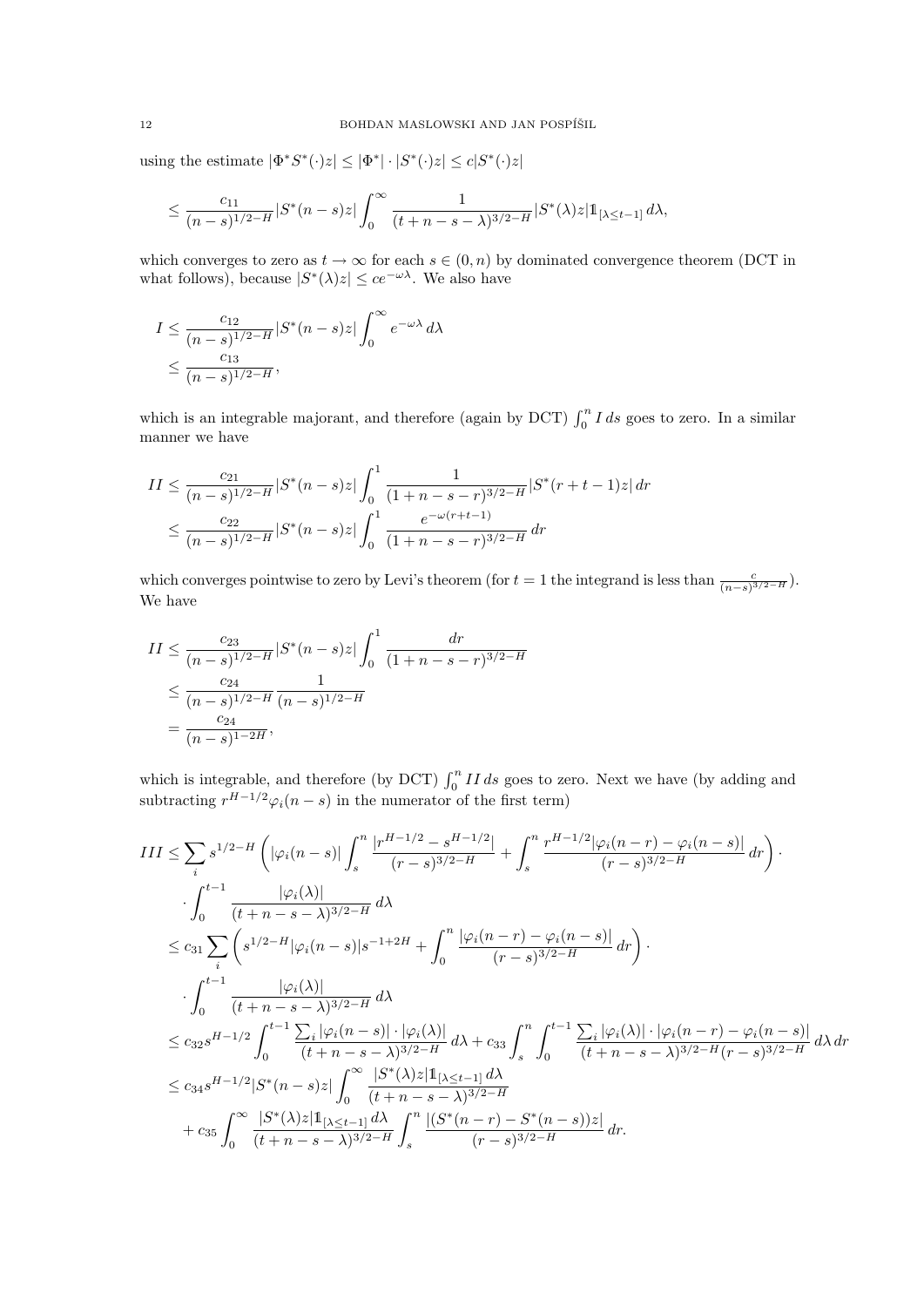using the estimate  $|\Phi^*S^*(\cdot)z| \leq |\Phi^*| \cdot |S^*(\cdot)z| \leq c|S^*(\cdot)z|$ 

$$
\leq \frac{c_{11}}{(n-s)^{1/2-H}}|S^*(n-s)z|\int_0^\infty \frac{1}{(t+n-s-\lambda)^{3/2-H}}|S^*(\lambda)z|1_{[\lambda\leq t-1]}d\lambda,
$$

which converges to zero as  $t \to \infty$  for each  $s \in (0, n)$  by dominated convergence theorem (DCT in what follows), because  $|S^*(\lambda)z| \leq ce^{-\omega\lambda}$ . We also have

$$
I \le \frac{c_{12}}{(n-s)^{1/2-H}} |S^*(n-s)z| \int_0^\infty e^{-\omega \lambda} d\lambda
$$
  

$$
\le \frac{c_{13}}{(n-s)^{1/2-H}},
$$

which is an integrable majorant, and therefore (again by DCT)  $\int_0^n I ds$  goes to zero. In a similar manner we have

$$
II \le \frac{c_{21}}{(n-s)^{1/2-H}} |S^*(n-s)z| \int_0^1 \frac{1}{(1+n-s-r)^{3/2-H}} |S^*(r+t-1)z| dr
$$
  

$$
\le \frac{c_{22}}{(n-s)^{1/2-H}} |S^*(n-s)z| \int_0^1 \frac{e^{-\omega(r+t-1)}}{(1+n-s-r)^{3/2-H}} dr
$$

which converges pointwise to zero by Levi's theorem (for  $t = 1$  the integrand is less than  $\frac{c}{(n-s)^{3/2-H}}$ ). We have

$$
II \le \frac{c_{23}}{(n-s)^{1/2-H}} |S^*(n-s)z| \int_0^1 \frac{dr}{(1+n-s-r)^{3/2-H}}
$$
  

$$
\le \frac{c_{24}}{(n-s)^{1/2-H}} \frac{1}{(n-s)^{1/2-H}}
$$
  

$$
= \frac{c_{24}}{(n-s)^{1-2H}},
$$

which is integrable, and therefore (by DCT)  $\int_0^n II ds$  goes to zero. Next we have (by adding and subtracting  $r^{H-1/2}\varphi_i(n-s)$  in the numerator of the first term)

$$
III \leq \sum_{i} s^{1/2-H} \left( |\varphi_{i}(n-s)| \int_{s}^{n} \frac{|r^{H-1/2} - s^{H-1/2}|}{(r-s)^{3/2-H}} + \int_{s}^{n} \frac{r^{H-1/2} |\varphi_{i}(n-r) - \varphi_{i}(n-s)|}{(r-s)^{3/2-H}} dr \right) \cdot \int_{0}^{t-1} \frac{|\varphi_{i}(\lambda)|}{(t+n-s-\lambda)^{3/2-H}} d\lambda
$$
  
\n
$$
\leq c_{31} \sum_{i} \left( s^{1/2-H} |\varphi_{i}(n-s)| s^{-1+2H} + \int_{0}^{n} \frac{|\varphi_{i}(n-r) - \varphi_{i}(n-s)|}{(r-s)^{3/2-H}} dr \right) \cdot \int_{0}^{t-1} \frac{|\varphi_{i}(\lambda)|}{(t+n-s-\lambda)^{3/2-H}} d\lambda
$$
  
\n
$$
\leq c_{32} s^{H-1/2} \int_{0}^{t-1} \frac{|\varphi_{i}(\lambda)|}{(t+n-s-\lambda)^{3/2-H}} d\lambda + c_{33} \int_{s}^{n} \int_{0}^{t-1} \frac{\sum_{i} |\varphi_{i}(\lambda)| \cdot |\varphi_{i}(n-r) - \varphi_{i}(n-s)|}{(t+n-s-\lambda)^{3/2-H}} d\lambda dr
$$
  
\n
$$
\leq c_{34} s^{H-1/2} |S^{*}(n-s)z| \int_{0}^{\infty} \frac{|S^{*}(\lambda)z|1_{[\lambda \leq t-1]} d\lambda}{(t+n-s-\lambda)^{3/2-H}} d\lambda
$$
  
\n
$$
+ c_{35} \int_{0}^{\infty} \frac{|S^{*}(\lambda)z|1_{[\lambda \leq t-1]} d\lambda}{(t+n-s-\lambda)^{3/2-H}} \int_{s}^{n} \frac{|(S^{*}(n-r) - S^{*}(n-s))z|}{(r-s)^{3/2-H}} dr.
$$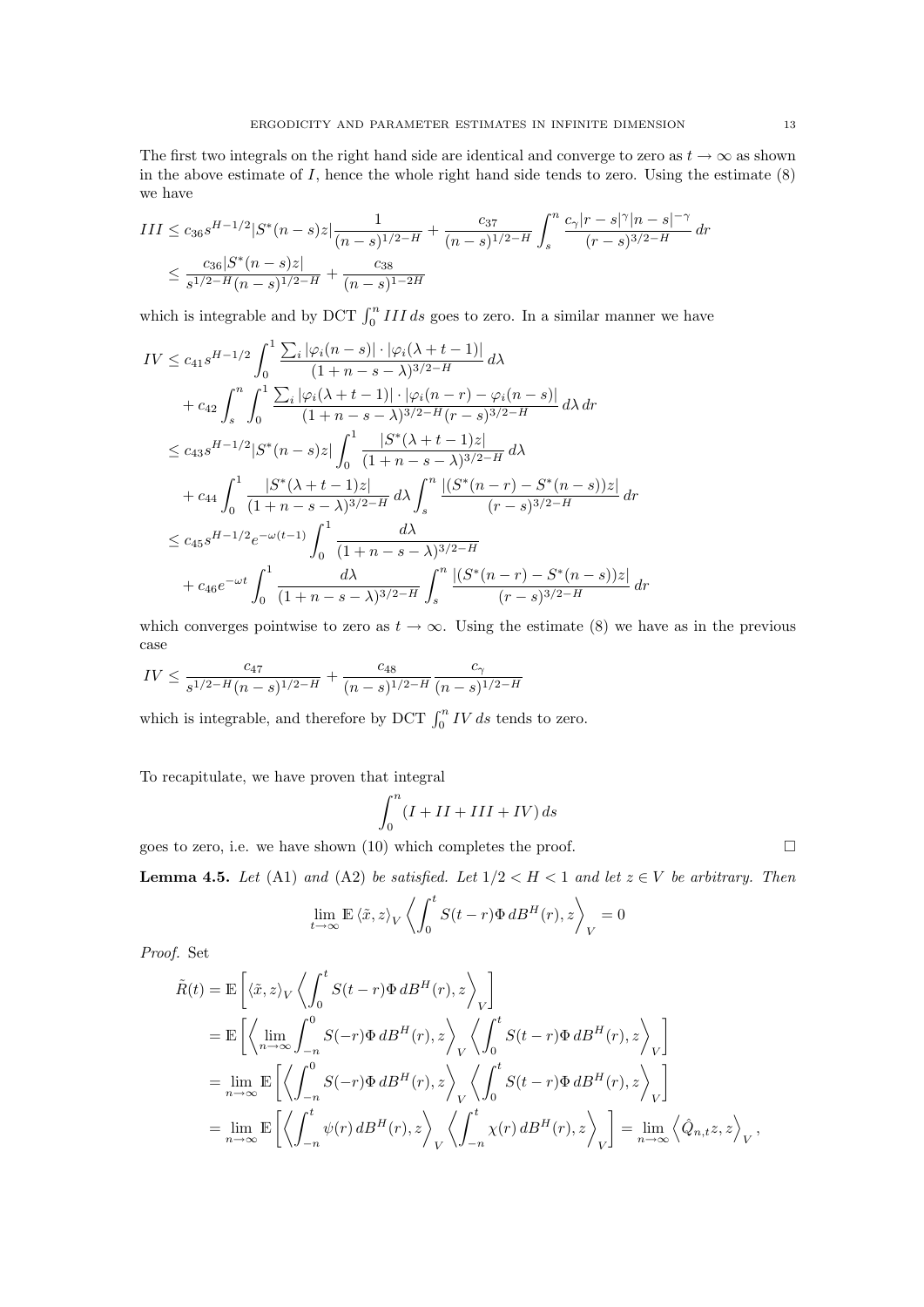The first two integrals on the right hand side are identical and converge to zero as  $t \to \infty$  as shown in the above estimate of  $I$ , hence the whole right hand side tends to zero. Using the estimate  $(8)$ we have

$$
III \le c_{36} s^{H-1/2} |S^*(n-s)z| \frac{1}{(n-s)^{1/2-H}} + \frac{c_{37}}{(n-s)^{1/2-H}} \int_s^n \frac{c_\gamma |r-s|^\gamma |n-s|^{-\gamma}}{(r-s)^{3/2-H}} dr
$$
  

$$
\le \frac{c_{36} |S^*(n-s)z|}{s^{1/2-H} (n-s)^{1/2-H}} + \frac{c_{38}}{(n-s)^{1-2H}}
$$

which is integrable and by DCT  $\int_0^n III \, ds$  goes to zero. In a similar manner we have

$$
IV \leq c_{41}s^{H-1/2} \int_{0}^{1} \frac{\sum_{i} |\varphi_{i}(n-s)| \cdot |\varphi_{i}(\lambda+t-1)|}{(1+n-s-\lambda)^{3/2-H}} d\lambda
$$
  
+  $c_{42} \int_{s}^{n} \int_{0}^{1} \frac{\sum_{i} |\varphi_{i}(\lambda+t-1)| \cdot |\varphi_{i}(n-r) - \varphi_{i}(n-s)|}{(1+n-s-\lambda)^{3/2-H}(r-s)^{3/2-H}} d\lambda dr$   
 $\leq c_{43}s^{H-1/2} |S^{*}(n-s)z| \int_{0}^{1} \frac{|S^{*}(\lambda+t-1)z|}{(1+n-s-\lambda)^{3/2-H}} d\lambda$   
+  $c_{44} \int_{0}^{1} \frac{|S^{*}(\lambda+t-1)z|}{(1+n-s-\lambda)^{3/2-H}} d\lambda \int_{s}^{n} \frac{|(S^{*}(n-r)-S^{*}(n-s))z|}{(r-s)^{3/2-H}} dr$   
 $\leq c_{45}s^{H-1/2}e^{-\omega(t-1)} \int_{0}^{1} \frac{d\lambda}{(1+n-s-\lambda)^{3/2-H}}$   
+  $c_{46}e^{-\omega t} \int_{0}^{1} \frac{d\lambda}{(1+n-s-\lambda)^{3/2-H}} \int_{s}^{n} \frac{|(S^{*}(n-r)-S^{*}(n-s))z|}{(r-s)^{3/2-H}} dr$ 

which converges pointwise to zero as  $t \to \infty$ . Using the estimate (8) we have as in the previous case

$$
IV \leq \frac{c_{47}}{s^{1/2-H}(n-s)^{1/2-H}} + \frac{c_{48}}{(n-s)^{1/2-H}} \frac{c_{\gamma}}{(n-s)^{1/2-H}}
$$

which is integrable, and therefore by DCT  $\int_0^n IV ds$  tends to zero.

To recapitulate, we have proven that integral

$$
\int_0^n (I + II + III + IV) ds
$$

goes to zero, i.e. we have shown (10) which completes the proof.  $\square$ 

**Lemma 4.5.** Let (A1) and (A2) be satisfied. Let  $1/2 < H < 1$  and let  $z \in V$  be arbitrary. Then

= 0

$$
\lim_{t\to\infty} \mathbb{E}\left\langle \tilde{x},z\right\rangle_V \left\langle \int_0^t S(t-r)\Phi\,dB^H(r),z\right\rangle_V=
$$

Proof. Set

$$
\tilde{R}(t) = \mathbb{E}\left[\langle \tilde{x}, z \rangle_V \left\langle \int_0^t S(t-r)\Phi \, dB^H(r), z \right\rangle_V \right]
$$
\n
$$
= \mathbb{E}\left[\left\langle \lim_{n \to \infty} \int_{-n}^0 S(-r)\Phi \, dB^H(r), z \right\rangle_V \left\langle \int_0^t S(t-r)\Phi \, dB^H(r), z \right\rangle_V \right]
$$
\n
$$
= \lim_{n \to \infty} \mathbb{E}\left[\left\langle \int_{-n}^0 S(-r)\Phi \, dB^H(r), z \right\rangle_V \left\langle \int_0^t S(t-r)\Phi \, dB^H(r), z \right\rangle_V \right]
$$
\n
$$
= \lim_{n \to \infty} \mathbb{E}\left[\left\langle \int_{-n}^t \psi(r) \, dB^H(r), z \right\rangle_V \left\langle \int_{-n}^t \chi(r) \, dB^H(r), z \right\rangle_V \right] = \lim_{n \to \infty} \left\langle \hat{Q}_{n,t} z, z \right\rangle_V,
$$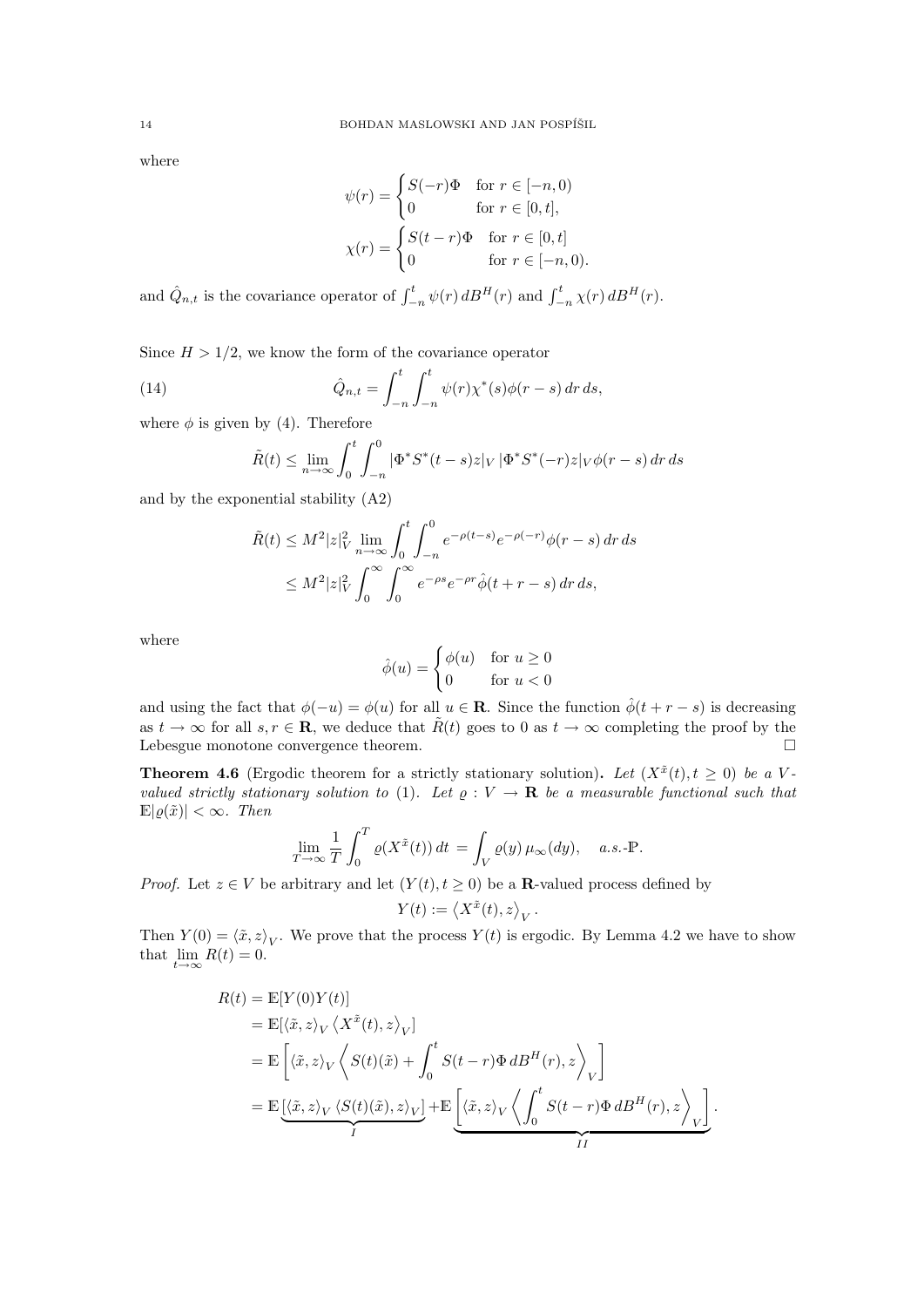where

$$
\psi(r) = \begin{cases} S(-r)\Phi & \text{for } r \in [-n, 0) \\ 0 & \text{for } r \in [0, t], \end{cases}
$$

$$
\chi(r) = \begin{cases} S(t-r)\Phi & \text{for } r \in [0, t] \\ 0 & \text{for } r \in [-n, 0). \end{cases}
$$

and  $\hat{Q}_{n,t}$  is the covariance operator of  $\int_{-n}^{t} \psi(r) dB^H(r)$  and  $\int_{-n}^{t} \chi(r) dB^H(r)$ .

Since  $H > 1/2$ , we know the form of the covariance operator

(14) 
$$
\hat{Q}_{n,t} = \int_{-n}^{t} \int_{-n}^{t} \psi(r) \chi^*(s) \phi(r-s) \, dr \, ds,
$$

where  $\phi$  is given by (4). Therefore

$$
\tilde{R}(t) \le \lim_{n \to \infty} \int_0^t \int_{-n}^0 |\Phi^* S^*(t - s)z|_V |\Phi^* S^*(-r)z|_V \phi(r - s) dr ds
$$

and by the exponential stability (A2)

$$
\tilde{R}(t) \le M^2 |z|_V^2 \lim_{n \to \infty} \int_0^t \int_{-n}^0 e^{-\rho(t-s)} e^{-\rho(-r)} \phi(r-s) \, dr \, ds
$$
\n
$$
\le M^2 |z|_V^2 \int_0^\infty \int_0^\infty e^{-\rho s} e^{-\rho r} \hat{\phi}(t+r-s) \, dr \, ds,
$$

where

$$
\hat{\phi}(u) = \begin{cases} \phi(u) & \text{for } u \ge 0 \\ 0 & \text{for } u < 0 \end{cases}
$$

and using the fact that  $\phi(-u) = \phi(u)$  for all  $u \in \mathbf{R}$ . Since the function  $\hat{\phi}(t + r - s)$  is decreasing as  $t \to \infty$  for all  $s, r \in \mathbb{R}$ , we deduce that  $\tilde{R}(t)$  goes to 0 as  $t \to \infty$  completing the proof by the Lebesgue monotone convergence theorem.  $\Box$ 

**Theorem 4.6** (Ergodic theorem for a strictly stationary solution). Let  $(X^{\tilde{x}}(t), t \ge 0)$  be a Vvalued strictly stationary solution to (1). Let  $\rho: V \to \mathbf{R}$  be a measurable functional such that  $\mathbb{E}|\rho(\tilde{x})| < \infty$ . Then

$$
\lim_{T \to \infty} \frac{1}{T} \int_0^T \varrho(X^{\tilde{x}}(t)) dt = \int_V \varrho(y) \mu_\infty(dy), \quad a.s.\text{-P}.
$$

*Proof.* Let  $z \in V$  be arbitrary and let  $(Y(t), t \geq 0)$  be a **R**-valued process defined by

$$
Y(t) := \left\langle X^{\tilde{x}}(t), z \right\rangle_V.
$$

Then  $Y(0) = \langle \tilde{x}, z \rangle_V$ . We prove that the process  $Y(t)$  is ergodic. By Lemma 4.2 we have to show that  $\lim_{t\to\infty} R(t) = 0.$ 

$$
R(t) = \mathbb{E}[Y(0)Y(t)]
$$
  
\n
$$
= \mathbb{E}[\langle \tilde{x}, z \rangle_V \langle X^{\tilde{x}}(t), z \rangle_V]
$$
  
\n
$$
= \mathbb{E}\left[\langle \tilde{x}, z \rangle_V \langle S(t)(\tilde{x}) + \int_0^t S(t - r)\Phi \, dB^H(r), z \rangle_V \right]
$$
  
\n
$$
= \mathbb{E}\underbrace{[\langle \tilde{x}, z \rangle_V \langle S(t)(\tilde{x}), z \rangle_V]}_{I} + \mathbb{E}\underbrace{[\langle \tilde{x}, z \rangle_V \langle \int_0^t S(t - r)\Phi \, dB^H(r), z \rangle_V]}_{II}.
$$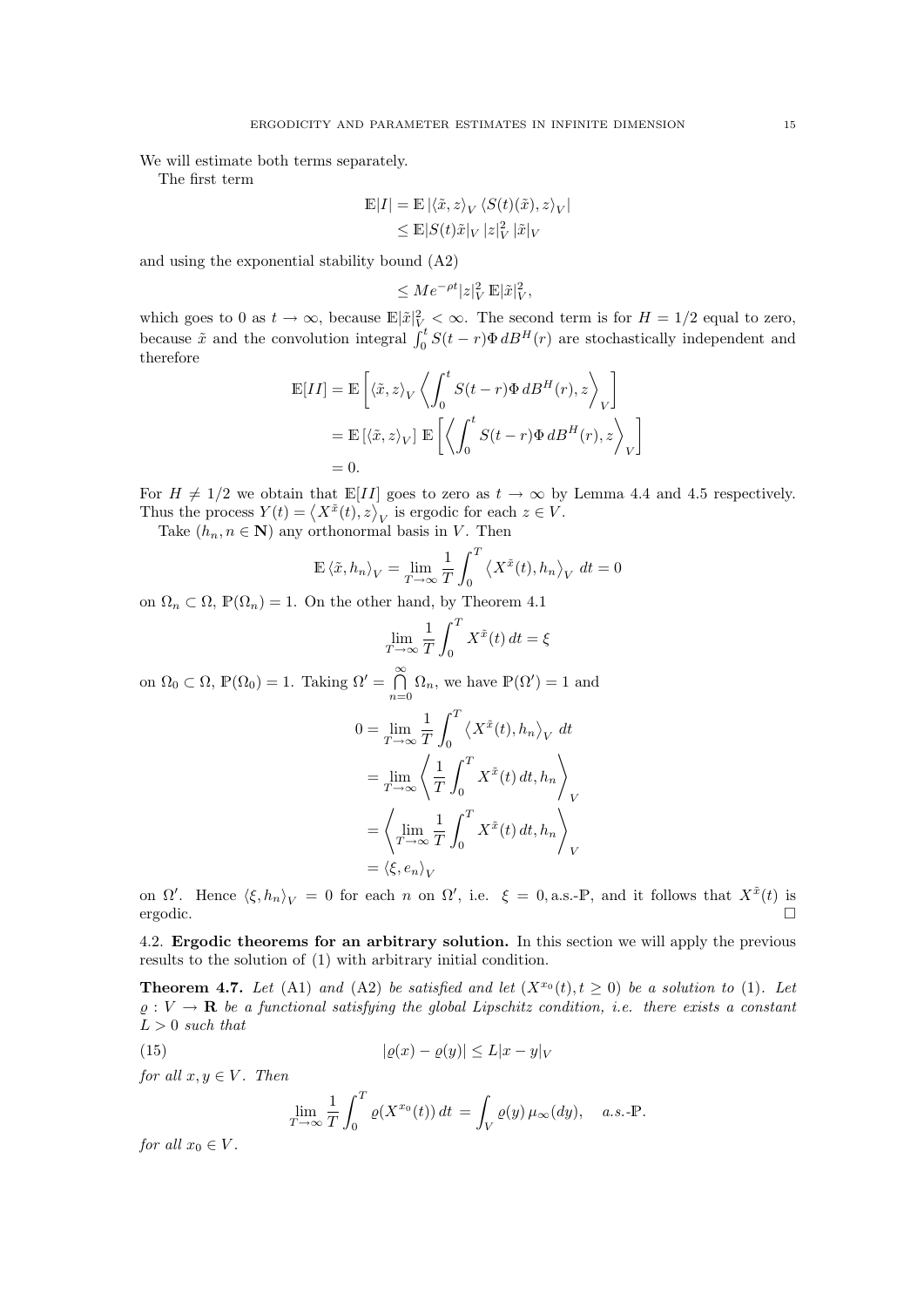We will estimate both terms separately.

The first term

$$
\begin{aligned} \mathbb{E}|I|&=\mathbb{E}\left|\left\langle \tilde{x},z\right\rangle_V\left\langle S(t)(\tilde{x}),z\right\rangle_V\right|\\ &\leq\mathbb{E}|S(t)\tilde{x}|_V\left|z\right|_V^2|\tilde{x}|_V \end{aligned}
$$

and using the exponential stability bound (A2)

$$
\leq Me^{-\rho t}|z|_V^2\, \mathbb{E}|\tilde{x}|_V^2,
$$

which goes to 0 as  $t \to \infty$ , because  $\mathbb{E}|\tilde{x}|_V^2 < \infty$ . The second term is for  $H = 1/2$  equal to zero, because  $\tilde{x}$  and the convolution integral  $\int_0^t S(t-r)\Phi \, dB^H(r)$  are stochastically independent and therefore

$$
\mathbb{E}[II] = \mathbb{E}\left[\langle \tilde{x}, z \rangle_V \left\langle \int_0^t S(t-r)\Phi \, dB^H(r), z \right\rangle_V \right]
$$
  
=  $\mathbb{E}\left[\langle \tilde{x}, z \rangle_V \right] \mathbb{E}\left[\left\langle \int_0^t S(t-r)\Phi \, dB^H(r), z \right\rangle_V \right]$   
= 0.

For  $H \neq 1/2$  we obtain that  $\mathbb{E}[II]$  goes to zero as  $t \to \infty$  by Lemma 4.4 and 4.5 respectively. Thus the process  $Y(t) = \langle X^{\tilde{x}}(t), z \rangle_V$  is ergodic for each  $z \in V$ .

Take  $(h_n, n \in \mathbb{N})$  any orthonormal basis in V. Then

$$
\mathbb{E}\left\langle \tilde{x},h_n\right\rangle_V = \lim_{T\to\infty} \frac{1}{T} \int_0^T \left\langle X^{\tilde{x}}(t),h_n\right\rangle_V dt = 0
$$

on  $\Omega_n \subset \Omega$ ,  $\mathbb{P}(\Omega_n) = 1$ . On the other hand, by Theorem 4.1

$$
\lim_{T \to \infty} \frac{1}{T} \int_0^T X^{\tilde{x}}(t) dt = \xi
$$

on  $\Omega_0 \subset \Omega$ ,  $\mathbb{P}(\Omega_0) = 1$ . Taking  $\Omega' = \bigcap_{n=0}^{\infty}$  $\bigcap_{n=0}^{\infty} \Omega_n$ , we have  $\mathbb{P}(\Omega') = 1$  and

$$
0 = \lim_{T \to \infty} \frac{1}{T} \int_0^T \left\langle X^{\tilde{x}}(t), h_n \right\rangle_V dt
$$
  
= 
$$
\lim_{T \to \infty} \left\langle \frac{1}{T} \int_0^T X^{\tilde{x}}(t) dt, h_n \right\rangle_V
$$
  
= 
$$
\left\langle \lim_{T \to \infty} \frac{1}{T} \int_0^T X^{\tilde{x}}(t) dt, h_n \right\rangle_V
$$
  
= 
$$
\left\langle \xi, e_n \right\rangle_V
$$

on  $\Omega'$ . Hence  $\langle \xi, h_n \rangle_V = 0$  for each n on  $\Omega'$ , i.e.  $\xi = 0$ , a.s.-P, and it follows that  $X^{\tilde{x}}(t)$  is ergodic.

4.2. Ergodic theorems for an arbitrary solution. In this section we will apply the previous results to the solution of (1) with arbitrary initial condition.

**Theorem 4.7.** Let (A1) and (A2) be satisfied and let  $(X^{x_0}(t), t \ge 0)$  be a solution to (1). Let  $\rho: V \to \mathbf{R}$  be a functional satisfying the global Lipschitz condition, i.e. there exists a constant  $L > 0$  such that

$$
(15) \qquad |\varrho(x) - \varrho(y)| \le L|x - y|_V
$$

for all  $x, y \in V$ . Then

$$
\lim_{T \to \infty} \frac{1}{T} \int_0^T \varrho(X^{x_0}(t)) dt = \int_V \varrho(y) \mu_\infty(dy), \quad a.s.\text{-P}.
$$

for all  $x_0 \in V$ .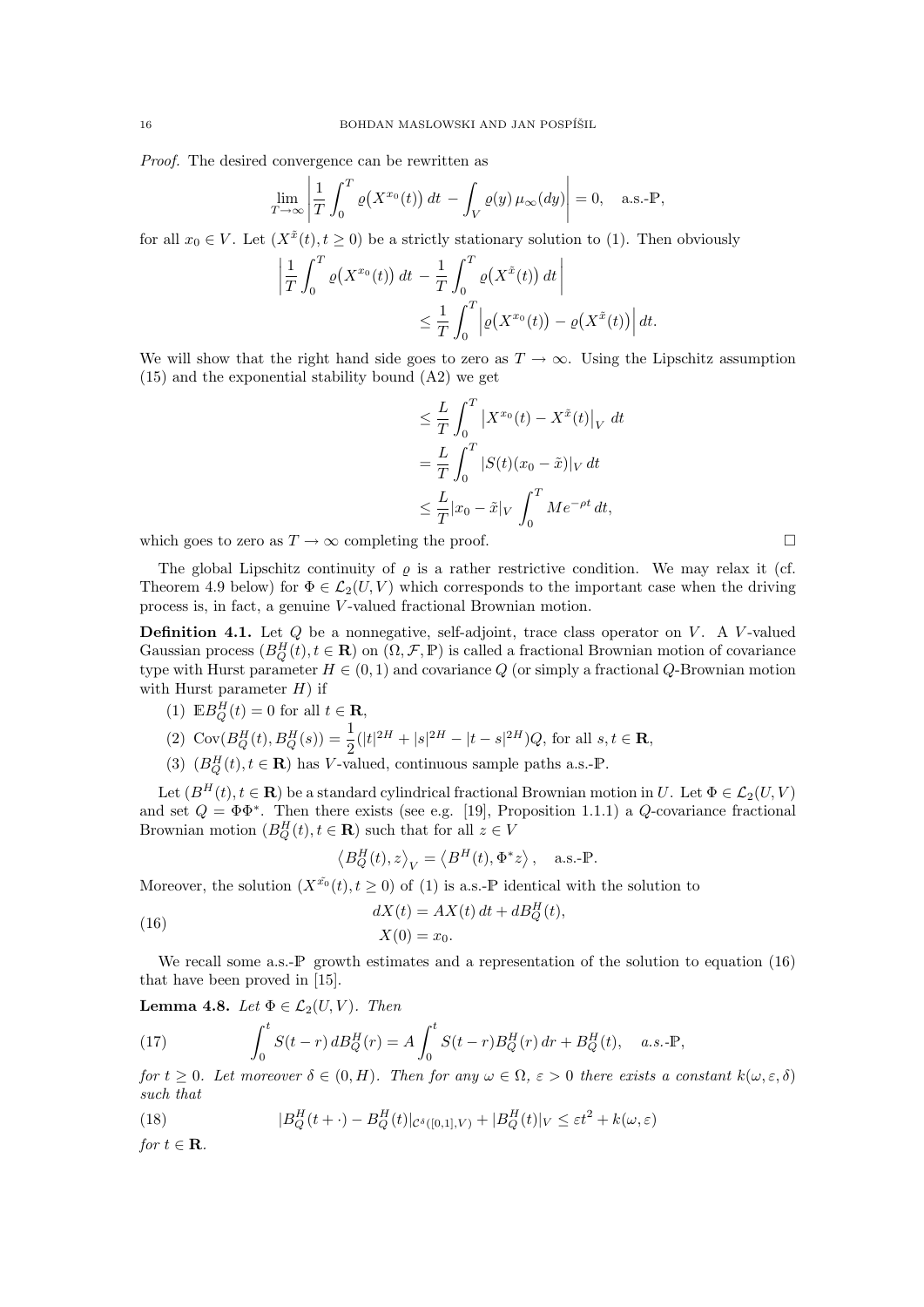Proof. The desired convergence can be rewritten as

$$
\lim_{T \to \infty} \left| \frac{1}{T} \int_0^T \varrho(X^{x_0}(t)) dt - \int_V \varrho(y) \mu_\infty(dy) \right| = 0, \quad \text{a.s.-P},
$$

for all  $x_0 \in V$ . Let  $(X^{\tilde{x}}(t), t \geq 0)$  be a strictly stationary solution to (1). Then obviously

$$
\left| \frac{1}{T} \int_0^T \varrho(X^{x_0}(t)) dt - \frac{1}{T} \int_0^T \varrho(X^{\tilde{x}}(t)) dt \right|
$$
  

$$
\leq \frac{1}{T} \int_0^T \left| \varrho(X^{x_0}(t)) - \varrho(X^{\tilde{x}}(t)) \right| dt.
$$

We will show that the right hand side goes to zero as  $T \to \infty$ . Using the Lipschitz assumption (15) and the exponential stability bound (A2) we get

$$
\leq \frac{L}{T} \int_0^T \left| X^{x_0}(t) - X^{\tilde{x}}(t) \right|_V dt
$$
  
= 
$$
\frac{L}{T} \int_0^T |S(t)(x_0 - \tilde{x})|_V dt
$$
  

$$
\leq \frac{L}{T} |x_0 - \tilde{x}|_V \int_0^T Me^{-\rho t} dt,
$$

which goes to zero as  $T \to \infty$  completing the proof.

The global Lipschitz continuity of  $\rho$  is a rather restrictive condition. We may relax it (cf. Theorem 4.9 below) for  $\Phi \in \mathcal{L}_2(U, V)$  which corresponds to the important case when the driving process is, in fact, a genuine V -valued fractional Brownian motion.

**Definition 4.1.** Let  $Q$  be a nonnegative, self-adjoint, trace class operator on  $V$ . A V-valued Gaussian process  $(B_Q^H(t), t \in \mathbf{R})$  on  $(\Omega, \mathcal{F}, \mathbb{P})$  is called a fractional Brownian motion of covariance type with Hurst parameter  $H \in (0, 1)$  and covariance Q (or simply a fractional Q-Brownian motion with Hurst parameter  $H$ ) if

(1) 
$$
\mathbb{E}B_Q^H(t) = 0
$$
 for all  $t \in \mathbb{R}$ ,

$$
(2) \ \operatorname{Cov}(B_Q^H(t), B_Q^H(s)) = \frac{1}{2}(|t|^{2H} + |s|^{2H} - |t - s|^{2H})Q, \text{ for all } s, t \in \mathbf{R},
$$

(3)  $(B_Q^H(t), t \in \mathbb{R})$  has V-valued, continuous sample paths a.s.-P.

Let  $(B^H(t), t \in \mathbf{R})$  be a standard cylindrical fractional Brownian motion in U. Let  $\Phi \in \mathcal{L}_2(U, V)$ and set  $Q = \Phi \Phi^*$ . Then there exists (see e.g. [19], Proposition 1.1.1) a Q-covariance fractional Brownian motion  $(B_Q^H(t), t \in \mathbf{R})$  such that for all  $z \in V$ 

$$
\langle B_Q^H(t), z \rangle_V = \langle B^H(t), \Phi^* z \rangle
$$
, a.s.-P.

Moreover, the solution  $(X^{\tilde{x_0}}(t), t \geq 0)$  of (1) is a.s.-P identical with the solution to

(16) 
$$
dX(t) = AX(t) dt + dB_Q^H(t),
$$

$$
X(0) = x_0.
$$

We recall some a.s.- $\mathbb{P}$  growth estimates and a representation of the solution to equation (16) that have been proved in [15].

Lemma 4.8. Let  $\Phi \in \mathcal{L}_2(U, V)$ . Then

(17) 
$$
\int_0^t S(t-r) dB_Q^H(r) = A \int_0^t S(t-r) B_Q^H(r) dr + B_Q^H(t), \quad a.s.\text{-P},
$$

for  $t \geq 0$ . Let moreover  $\delta \in (0, H)$ . Then for any  $\omega \in \Omega$ ,  $\varepsilon > 0$  there exists a constant  $k(\omega, \varepsilon, \delta)$ such that

(18) 
$$
|B_Q^H(t+ \cdot) - B_Q^H(t)|_{\mathcal{C}^{\delta}([0,1],V)} + |B_Q^H(t)|_V \leq \varepsilon t^2 + k(\omega,\varepsilon)
$$

for  $t \in \mathbf{R}$ .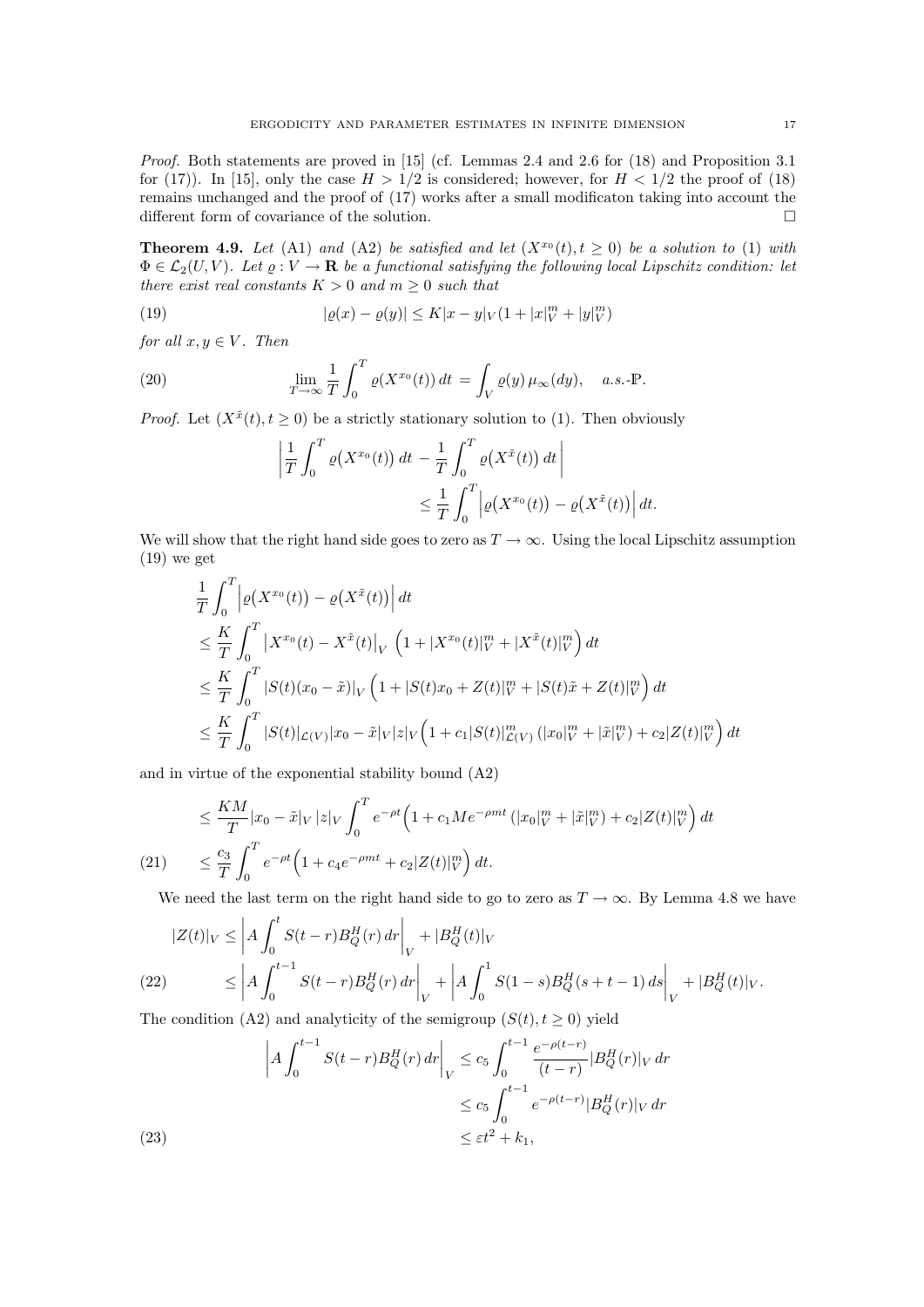Proof. Both statements are proved in [15] (cf. Lemmas 2.4 and 2.6 for (18) and Proposition 3.1 for (17)). In [15], only the case  $H > 1/2$  is considered; however, for  $H < 1/2$  the proof of (18) remains unchanged and the proof of (17) works after a small modificaton taking into account the different form of covariance of the solution.

**Theorem 4.9.** Let (A1) and (A2) be satisfied and let  $(X^{x_0}(t), t \ge 0)$  be a solution to (1) with  $\Phi \in \mathcal{L}_2(U, V)$ . Let  $\varrho: V \to \mathbf{R}$  be a functional satisfying the following local Lipschitz condition: let there exist real constants  $K > 0$  and  $m > 0$  such that

(19) 
$$
|\varrho(x) - \varrho(y)| \le K|x - y|_V (1 + |x|_V^m + |y|_V^m)
$$

for all  $x, y \in V$ . Then

(20) 
$$
\lim_{T \to \infty} \frac{1}{T} \int_0^T \varrho(X^{x_0}(t)) dt = \int_V \varrho(y) \mu_\infty(dy), \quad a.s.\text{-P}.
$$

*Proof.* Let  $(X^{\tilde{x}}(t), t \geq 0)$  be a strictly stationary solution to (1). Then obviously

$$
\left| \frac{1}{T} \int_0^T \varrho(X^{x_0}(t)) dt - \frac{1}{T} \int_0^T \varrho(X^{\tilde{x}}(t)) dt \right|
$$
  

$$
\leq \frac{1}{T} \int_0^T \left| \varrho(X^{x_0}(t)) - \varrho(X^{\tilde{x}}(t)) \right| dt.
$$

We will show that the right hand side goes to zero as  $T \to \infty$ . Using the local Lipschitz assumption (19) we get

$$
\frac{1}{T} \int_0^T \left| \varrho(X^{x_0}(t)) - \varrho(X^{\tilde{x}}(t)) \right| dt
$$
\n
$$
\leq \frac{K}{T} \int_0^T \left| X^{x_0}(t) - X^{\tilde{x}}(t) \right|_V \left( 1 + |X^{x_0}(t)|_V^m + |X^{\tilde{x}}(t)|_V^m \right) dt
$$
\n
$$
\leq \frac{K}{T} \int_0^T |S(t)(x_0 - \tilde{x})|_V \left( 1 + |S(t)x_0 + Z(t)|_V^m + |S(t)\tilde{x} + Z(t)|_V^m \right) dt
$$
\n
$$
\leq \frac{K}{T} \int_0^T |S(t)|_{\mathcal{L}(V)} |x_0 - \tilde{x}|_V |z|_V \left( 1 + c_1 |S(t)|_{{\mathcal{L}}(V)}^m \left( |x_0|_V^m + |\tilde{x}|_V^m \right) + c_2 |Z(t)|_V^m \right) dt
$$

and in virtue of the exponential stability bound (A2)

$$
\leq \frac{KM}{T}|x_0 - \tilde{x}|_V |z|_V \int_0^T e^{-\rho t} \left(1 + c_1 M e^{-\rho mt} \left(|x_0|_V^m + |\tilde{x}|_V^m\right) + c_2 |Z(t)|_V^m\right) dt
$$
\n
$$
(21) \qquad \leq \frac{c_3}{T} \int_0^T e^{-\rho t} \left(1 + c_4 e^{-\rho mt} + c_2 |Z(t)|_V^m\right) dt.
$$

We need the last term on the right hand side to go to zero as  $T \to \infty$ . By Lemma 4.8 we have

$$
|Z(t)|_V \leq \left| A \int_0^t S(t-r) B_Q^H(r) \, dr \right|_V + |B_Q^H(t)|_V
$$
\n
$$
(22) \leq \left| A \int_0^{t-1} S(t-r) B_Q^H(r) \, dr \right|_V + \left| A \int_0^1 S(1-s) B_Q^H(s+t-1) \, ds \right|_V + |B_Q^H(t)|_V.
$$

The condition (A2) and analyticity of the semigroup  $(S(t), t > 0)$  yield

(23)  
\n
$$
\left| A \int_0^{t-1} S(t-r) B_Q^H(r) dr \right|_V \le c_5 \int_0^{t-1} \frac{e^{-\rho(t-r)}}{(t-r)} |B_Q^H(r)|_V dr
$$
\n
$$
\le c_5 \int_0^{t-1} e^{-\rho(t-r)} |B_Q^H(r)|_V dr
$$
\n
$$
\le \varepsilon t^2 + k_1,
$$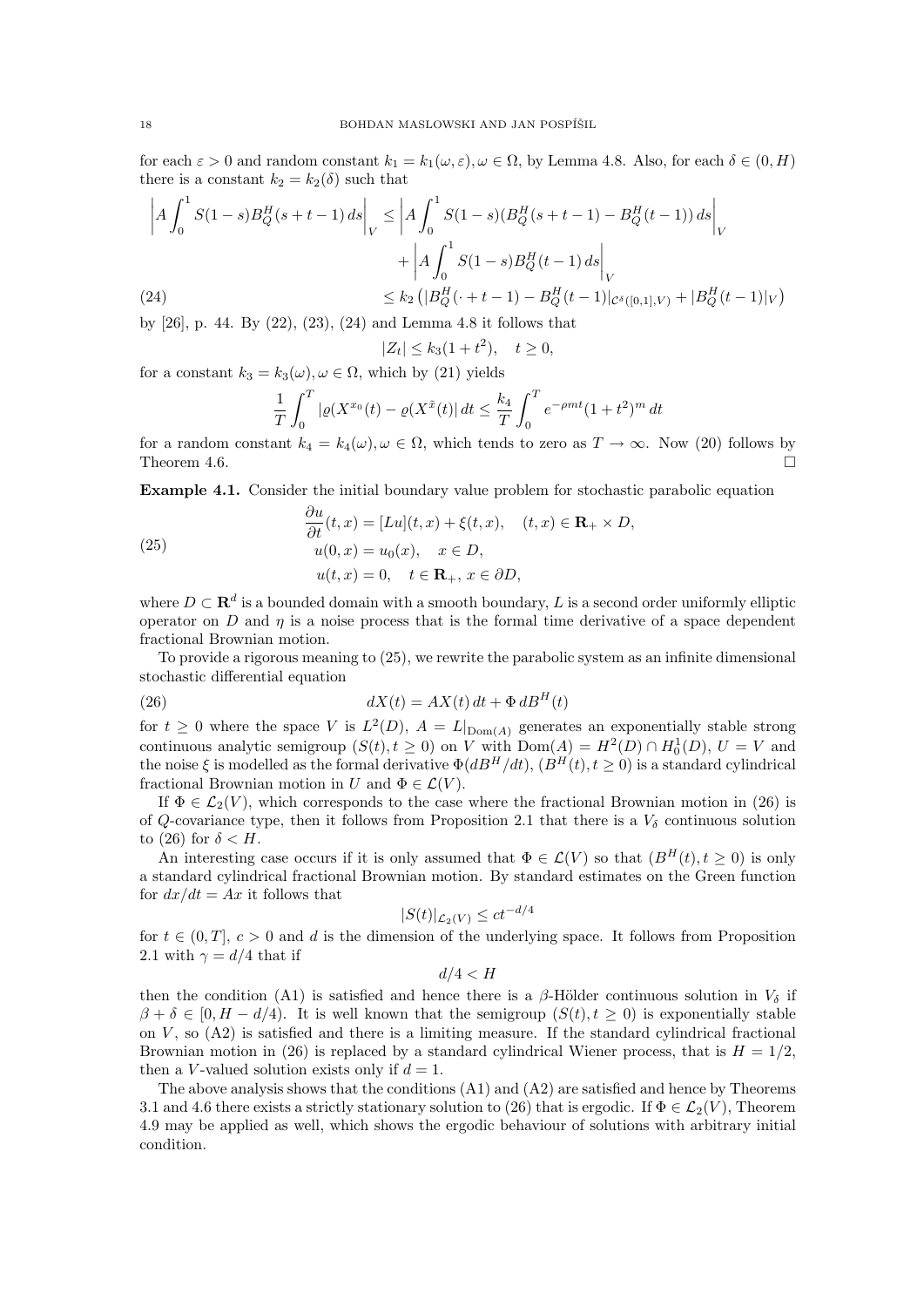for each  $\varepsilon > 0$  and random constant  $k_1 = k_1(\omega, \varepsilon), \omega \in \Omega$ , by Lemma 4.8. Also, for each  $\delta \in (0, H)$ there is a constant  $k_2 = k_2(\delta)$  such that

$$
\left| A \int_0^1 S(1-s) B_Q^H(s+t-1) \, ds \right|_V \le \left| A \int_0^1 S(1-s) (B_Q^H(s+t-1) - B_Q^H(t-1)) \, ds \right|_V
$$

$$
+ \left| A \int_0^1 S(1-s) B_Q^H(t-1) \, ds \right|_V
$$

$$
\le k_2 \left( |B_Q^H(\cdot + t - 1) - B_Q^H(t-1)|_{\mathcal{C}^{\delta}([0,1],V)} + |B_Q^H(t-1)|_V \right)
$$

by [26], p. 44. By (22), (23), (24) and Lemma 4.8 it follows that

$$
|Z_t| \le k_3(1+t^2), \quad t \ge 0,
$$

for a constant 
$$
k_3 = k_3(\omega), \omega \in \Omega
$$
, which by (21) yields

$$
\frac{1}{T} \int_0^T |\varrho(X^{x_0}(t) - \varrho(X^{\tilde{x}}(t))| dt \le \frac{k_4}{T} \int_0^T e^{-\rho mt} (1 + t^2)^m dt
$$

for a random constant  $k_4 = k_4(\omega), \omega \in \Omega$ , which tends to zero as  $T \to \infty$ . Now (20) follows by Theorem 4.6.

Example 4.1. Consider the initial boundary value problem for stochastic parabolic equation

(25) 
$$
\begin{aligned}\n\frac{\partial u}{\partial t}(t,x) &= [Lu](t,x) + \xi(t,x), \quad (t,x) \in \mathbf{R}_+ \times D, \\
u(0,x) &= u_0(x), \quad x \in D, \\
u(t,x) &= 0, \quad t \in \mathbf{R}_+, \ x \in \partial D,\n\end{aligned}
$$

where  $D \subset \mathbf{R}^d$  is a bounded domain with a smooth boundary, L is a second order uniformly elliptic operator on D and  $\eta$  is a noise process that is the formal time derivative of a space dependent fractional Brownian motion.

To provide a rigorous meaning to (25), we rewrite the parabolic system as an infinite dimensional stochastic differential equation

(26) 
$$
dX(t) = AX(t) dt + \Phi dB^{H}(t)
$$

for  $t \geq 0$  where the space V is  $L^2(D)$ ,  $A = L|_{\text{Dom}(A)}$  generates an exponentially stable strong continuous analytic semigroup  $(S(t), t \geq 0)$  on V with  $Dom(A) = H^2(D) \cap H_0^1(D)$ ,  $U = V$  and the noise  $\xi$  is modelled as the formal derivative  $\Phi(dB^H/dt)$ ,  $(B^H(t), t \ge 0)$  is a standard cylindrical fractional Brownian motion in U and  $\Phi \in \mathcal{L}(V)$ .

If  $\Phi \in \mathcal{L}_2(V)$ , which corresponds to the case where the fractional Brownian motion in (26) is of Q-covariance type, then it follows from Proposition 2.1 that there is a  $V_{\delta}$  continuous solution to (26) for  $\delta < H$ .

An interesting case occurs if it is only assumed that  $\Phi \in \mathcal{L}(V)$  so that  $(B^H(t), t > 0)$  is only a standard cylindrical fractional Brownian motion. By standard estimates on the Green function for  $dx/dt = Ax$  it follows that

$$
|S(t)|_{\mathcal{L}_2(V)} \le ct^{-d/4}
$$

for  $t \in (0, T]$ ,  $c > 0$  and d is the dimension of the underlying space. It follows from Proposition 2.1 with  $\gamma = d/4$  that if

$$
d/4 < H
$$

then the condition (A1) is satisfied and hence there is a  $\beta$ -Hölder continuous solution in  $V_{\delta}$  if  $\beta + \delta \in [0, H - d/4)$ . It is well known that the semigroup  $(S(t), t \ge 0)$  is exponentially stable on  $V$ , so  $(A2)$  is satisfied and there is a limiting measure. If the standard cylindrical fractional Brownian motion in (26) is replaced by a standard cylindrical Wiener process, that is  $H = 1/2$ , then a V-valued solution exists only if  $d = 1$ .

The above analysis shows that the conditions  $(A1)$  and  $(A2)$  are satisfied and hence by Theorems 3.1 and 4.6 there exists a strictly stationary solution to (26) that is ergodic. If  $\Phi \in \mathcal{L}_2(V)$ , Theorem 4.9 may be applied as well, which shows the ergodic behaviour of solutions with arbitrary initial condition.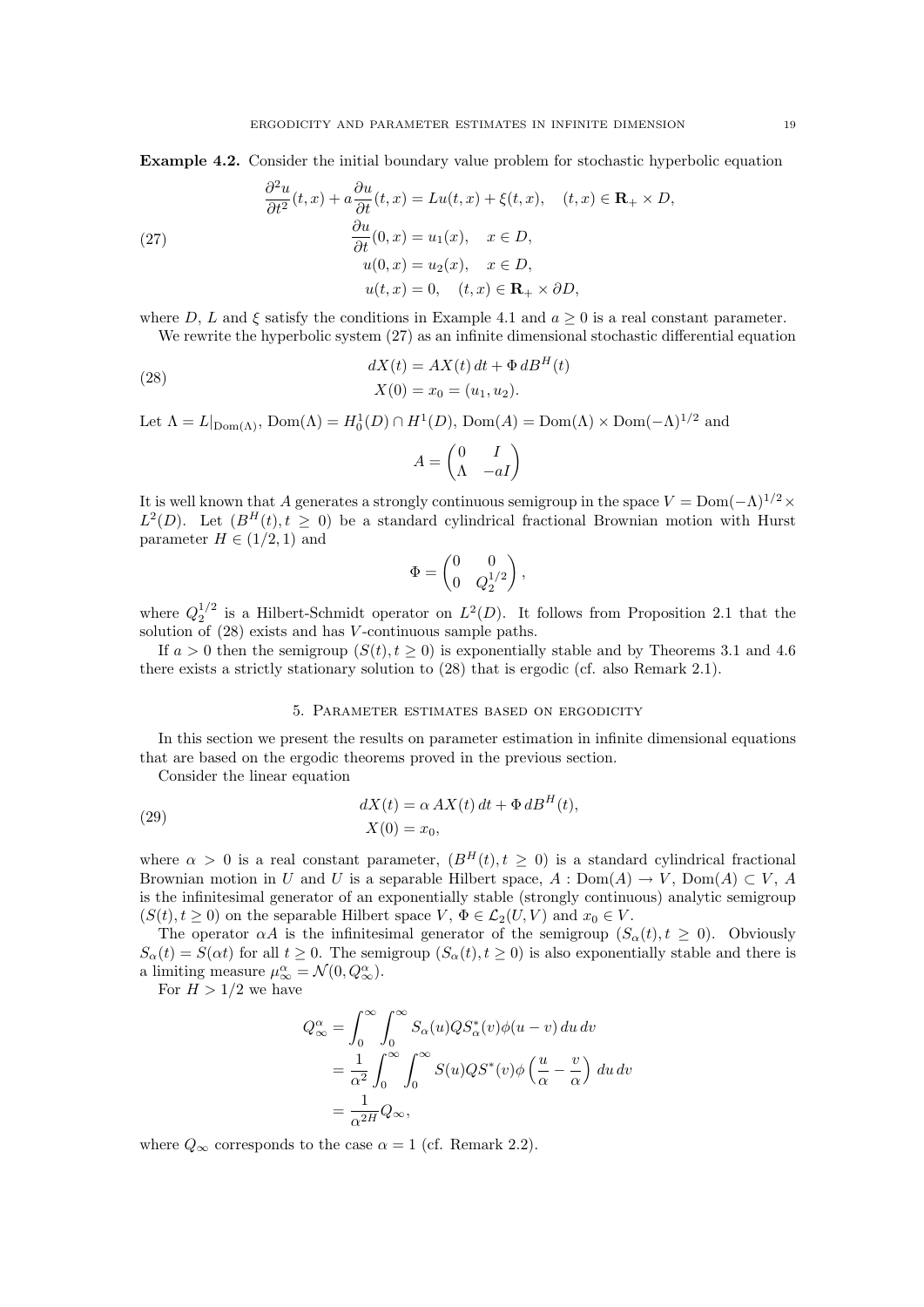Example 4.2. Consider the initial boundary value problem for stochastic hyperbolic equation

(27)  
\n
$$
\frac{\partial^2 u}{\partial t^2}(t, x) + a \frac{\partial u}{\partial t}(t, x) = Lu(t, x) + \xi(t, x), \quad (t, x) \in \mathbf{R}_+ \times D,
$$
\n
$$
\frac{\partial u}{\partial t}(0, x) = u_1(x), \quad x \in D,
$$
\n
$$
u(0, x) = u_2(x), \quad x \in D,
$$
\n
$$
u(t, x) = 0, \quad (t, x) \in \mathbf{R}_+ \times \partial D,
$$

where D, L and  $\xi$  satisfy the conditions in Example 4.1 and  $a \geq 0$  is a real constant parameter. We rewrite the hyperbolic system (27) as an infinite dimensional stochastic differential equation

(28) 
$$
dX(t) = AX(t) dt + \Phi dB^{H}(t)
$$

$$
X(0) = x_0 = (u_1, u_2).
$$

Let  $\Lambda = L|_{\text{Dom}(\Lambda)}$ ,  $\text{Dom}(\Lambda) = H_0^1(D) \cap H^1(D)$ ,  $\text{Dom}(A) = \text{Dom}(\Lambda) \times \text{Dom}(-\Lambda)^{1/2}$  and

$$
A = \begin{pmatrix} 0 & I \\ \Lambda & -aI \end{pmatrix}
$$

It is well known that A generates a strongly continuous semigroup in the space  $V = \text{Dom}(-\Lambda)^{1/2} \times$  $L^2(D)$ . Let  $(B^H(t), t \geq 0)$  be a standard cylindrical fractional Brownian motion with Hurst parameter  $H \in (1/2, 1)$  and

$$
\Phi = \begin{pmatrix} 0 & 0 \\ 0 & Q_2^{1/2} \end{pmatrix},
$$

where  $Q_2^{1/2}$  is a Hilbert-Schmidt operator on  $L^2(D)$ . It follows from Proposition 2.1 that the solution of  $(28)$  exists and has V-continuous sample paths.

If  $a > 0$  then the semigroup  $(S(t), t \ge 0)$  is exponentially stable and by Theorems 3.1 and 4.6 there exists a strictly stationary solution to (28) that is ergodic (cf. also Remark 2.1).

#### 5. Parameter estimates based on ergodicity

In this section we present the results on parameter estimation in infinite dimensional equations that are based on the ergodic theorems proved in the previous section.

Consider the linear equation

(29) 
$$
dX(t) = \alpha A X(t) dt + \Phi dB^{H}(t),
$$

$$
X(0) = x_0,
$$

where  $\alpha > 0$  is a real constant parameter,  $(B^{H}(t), t \ge 0)$  is a standard cylindrical fractional Brownian motion in U and U is a separable Hilbert space,  $A : Dom(A) \to V$ ,  $Dom(A) \subset V$ , A is the infinitesimal generator of an exponentially stable (strongly continuous) analytic semigroup  $(S(t), t \geq 0)$  on the separable Hilbert space  $V, \Phi \in \mathcal{L}_2(U, V)$  and  $x_0 \in V$ .

The operator  $\alpha A$  is the infinitesimal generator of the semigroup  $(S_{\alpha}(t), t \ge 0)$ . Obviously  $S_{\alpha}(t) = S(\alpha t)$  for all  $t \geq 0$ . The semigroup  $(S_{\alpha}(t), t \geq 0)$  is also exponentially stable and there is a limiting measure  $\mu_{\infty}^{\alpha} = \mathcal{N}(0, Q_{\infty}^{\alpha}).$ 

For  $H > 1/2$  we have

$$
Q_{\infty}^{\alpha} = \int_{0}^{\infty} \int_{0}^{\infty} S_{\alpha}(u) Q S_{\alpha}^{*}(v) \phi(u - v) du dv
$$
  
=  $\frac{1}{\alpha^{2}} \int_{0}^{\infty} \int_{0}^{\infty} S(u) Q S^{*}(v) \phi\left(\frac{u}{\alpha} - \frac{v}{\alpha}\right) du dv$   
=  $\frac{1}{\alpha^{2H}} Q_{\infty}$ ,

where  $Q_{\infty}$  corresponds to the case  $\alpha = 1$  (cf. Remark 2.2).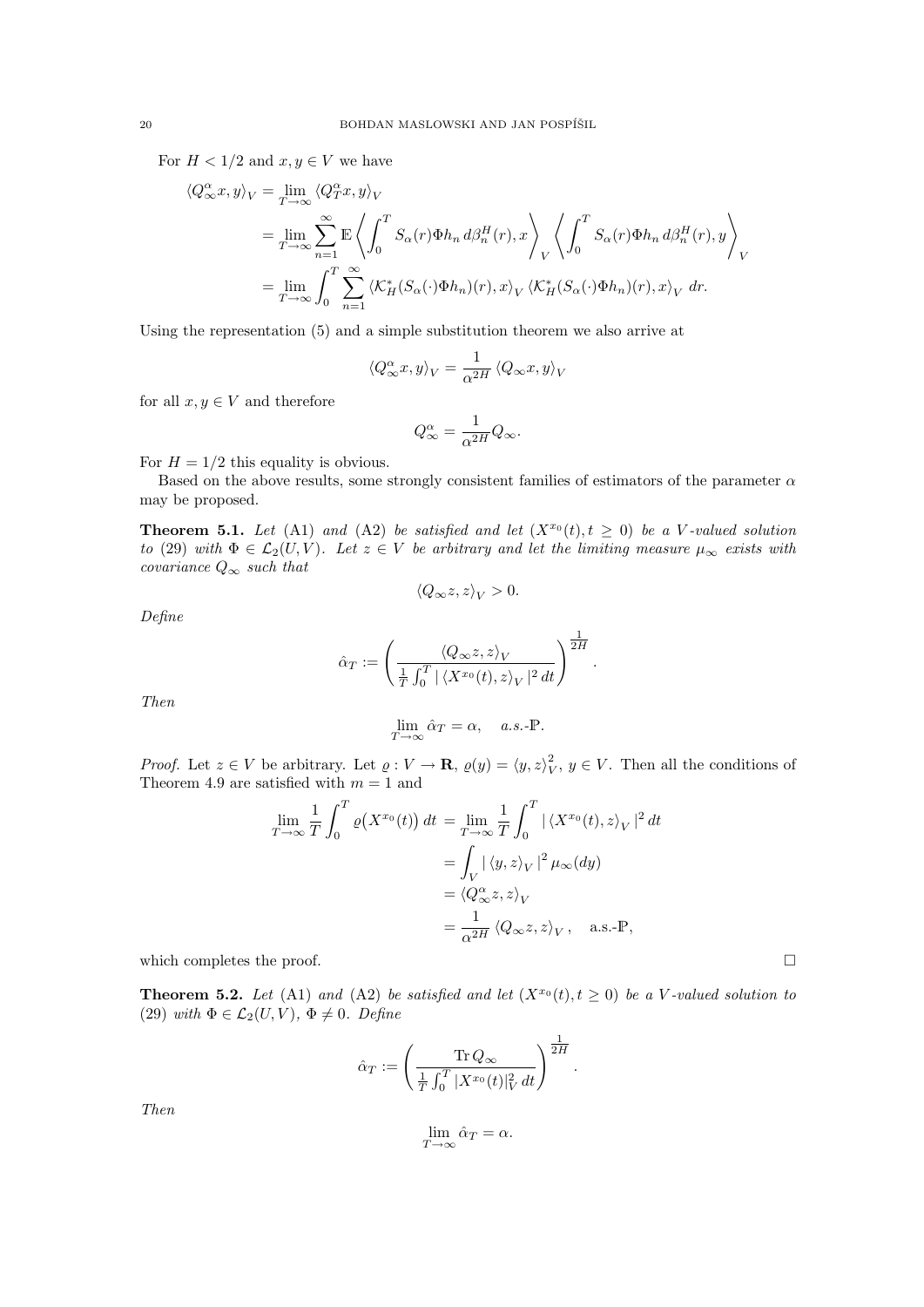For  $H < 1/2$  and  $x, y \in V$  we have

$$
\langle Q^{\alpha}_{\infty} x, y \rangle_{V} = \lim_{T \to \infty} \langle Q^{\alpha}_{T} x, y \rangle_{V}
$$
  
\n
$$
= \lim_{T \to \infty} \sum_{n=1}^{\infty} \mathbb{E} \left\langle \int_{0}^{T} S_{\alpha}(r) \Phi h_{n} d\beta_{n}^{H}(r), x \right\rangle_{V} \left\langle \int_{0}^{T} S_{\alpha}(r) \Phi h_{n} d\beta_{n}^{H}(r), y \right\rangle_{V}
$$
  
\n
$$
= \lim_{T \to \infty} \int_{0}^{T} \sum_{n=1}^{\infty} \left\langle \mathcal{K}_{H}^{*}(S_{\alpha}(\cdot) \Phi h_{n})(r), x \right\rangle_{V} \left\langle \mathcal{K}_{H}^{*}(S_{\alpha}(\cdot) \Phi h_{n})(r), x \right\rangle_{V} dr.
$$

Using the representation (5) and a simple substitution theorem we also arrive at

$$
\left\langle Q_{\infty}^{\alpha}x,y\right\rangle _{V}=\frac{1}{\alpha^{2H}}\left\langle Q_{\infty}x,y\right\rangle _{V}
$$

for all  $x, y \in V$  and therefore

$$
Q^\alpha_\infty = \frac{1}{\alpha^{2H}} Q_\infty.
$$

For  $H = 1/2$  this equality is obvious.

Based on the above results, some strongly consistent families of estimators of the parameter  $\alpha$ may be proposed.

**Theorem 5.1.** Let (A1) and (A2) be satisfied and let  $(X^{x_0}(t), t \ge 0)$  be a V-valued solution to (29) with  $\Phi \in \mathcal{L}_2(U, V)$ . Let  $z \in V$  be arbitrary and let the limiting measure  $\mu_\infty$  exists with covariance  $Q_{\infty}$  such that

$$
\langle Q_{\infty} z, z \rangle_V > 0.
$$

Define

$$
\hat{\alpha}_T := \left(\frac{\langle Q_\infty z, z\rangle_V}{\frac{1}{T}\int_0^T |\langle X^{x_0}(t), z\rangle_V|^2 dt}\right)^{\frac{1}{2H}}.
$$

Then

$$
\lim_{T \to \infty} \hat{\alpha}_T = \alpha, \quad a.s.\text{-P.}
$$

*Proof.* Let  $z \in V$  be arbitrary. Let  $\varrho: V \to \mathbf{R}$ ,  $\varrho(y) = \langle y, z \rangle_V^2$ ,  $y \in V$ . Then all the conditions of Theorem 4.9 are satisfied with  $m = 1$  and

$$
\lim_{T \to \infty} \frac{1}{T} \int_0^T \varrho(X^{x_0}(t)) dt = \lim_{T \to \infty} \frac{1}{T} \int_0^T |\langle X^{x_0}(t), z \rangle_V|^2 dt
$$
  
= 
$$
\int_V |\langle y, z \rangle_V|^2 \mu_\infty(dy)
$$
  
= 
$$
\langle Q^\alpha_\infty z, z \rangle_V
$$
  
= 
$$
\frac{1}{\alpha^{2H}} \langle Q_\infty z, z \rangle_V, \quad \text{a.s.-P},
$$

which completes the proof.  $\Box$ 

**Theorem 5.2.** Let (A1) and (A2) be satisfied and let  $(X^{x_0}(t), t \ge 0)$  be a V-valued solution to (29) with  $\Phi \in \mathcal{L}_2(U, V)$ ,  $\Phi \neq 0$ . Define

$$
\hat{\alpha}_T := \left(\frac{\operatorname{Tr} Q_\infty}{\frac{1}{T} \int_0^T |X^{x_0}(t)|_V^2 dt}\right)^{\frac{1}{2H}}.
$$

Then

$$
\lim_{T \to \infty} \hat{\alpha}_T = \alpha.
$$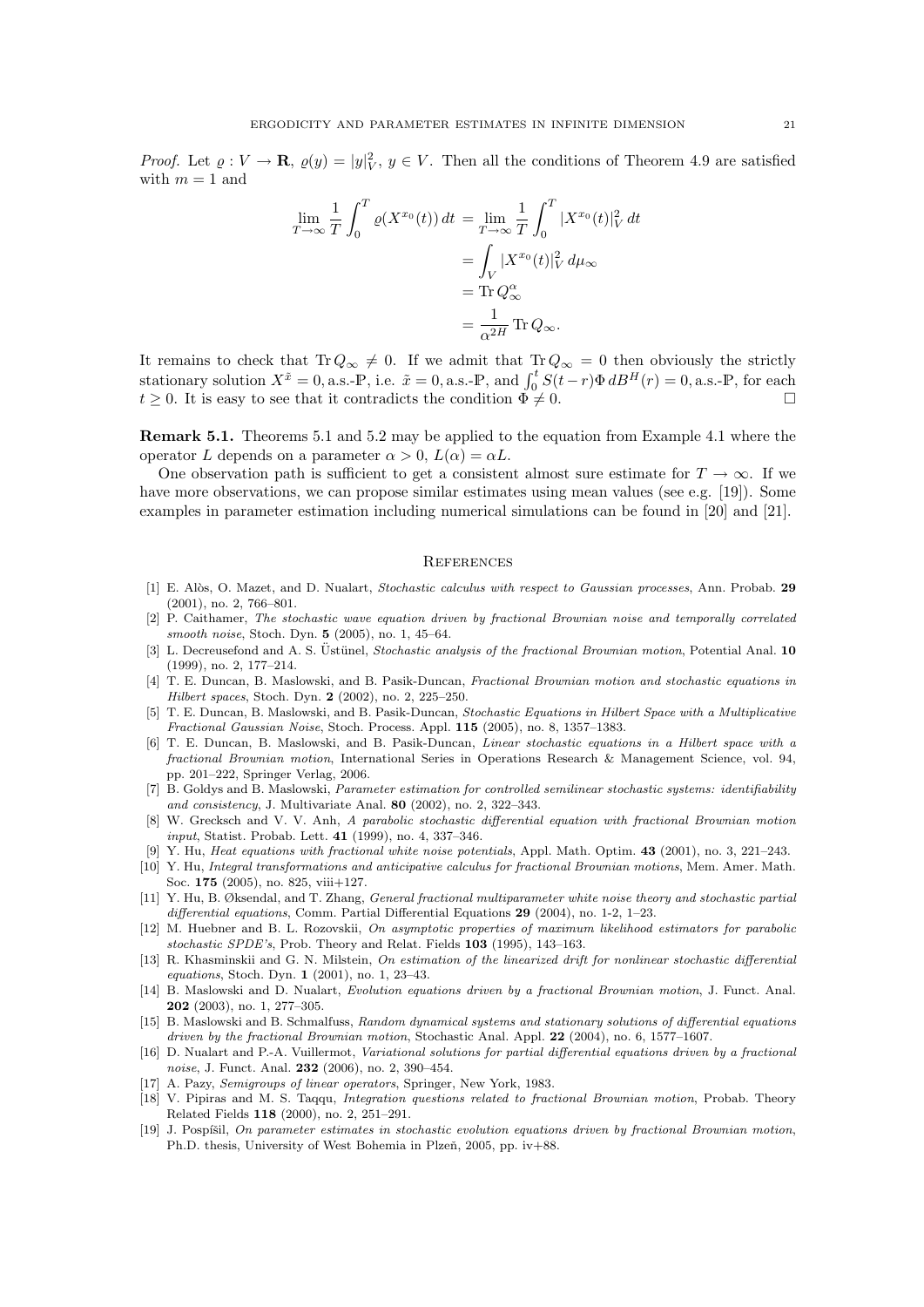*Proof.* Let  $\varrho: V \to \mathbf{R}$ ,  $\varrho(y) = |y|_V^2$ ,  $y \in V$ . Then all the conditions of Theorem 4.9 are satisfied with  $m = 1$  and

$$
\lim_{T \to \infty} \frac{1}{T} \int_0^T \varrho(X^{x_0}(t)) dt = \lim_{T \to \infty} \frac{1}{T} \int_0^T |X^{x_0}(t)|_V^2 dt
$$

$$
= \int_V |X^{x_0}(t)|_V^2 d\mu_\infty
$$

$$
= \text{Tr } Q^\alpha_\infty
$$

$$
= \frac{1}{\alpha^{2H}} \text{Tr } Q_\infty.
$$

It remains to check that Tr $Q_{\infty} \neq 0$ . If we admit that Tr $Q_{\infty} = 0$  then obviously the strictly stationary solution  $X^{\tilde{x}} = 0$ , a.s.-P, i.e.  $\tilde{x} = 0$ , a.s.-P, and  $\int_0^t S(t - r) \Phi \, dB^H(r) = 0$ , a.s.-P, for each  $t \geq 0$ . It is easy to see that it contradicts the condition  $\Phi \neq 0$ .

Remark 5.1. Theorems 5.1 and 5.2 may be applied to the equation from Example 4.1 where the operator L depends on a parameter  $\alpha > 0$ ,  $L(\alpha) = \alpha L$ .

One observation path is sufficient to get a consistent almost sure estimate for  $T \to \infty$ . If we have more observations, we can propose similar estimates using mean values (see e.g. [19]). Some examples in parameter estimation including numerical simulations can be found in [20] and [21].

#### **REFERENCES**

- [1] E. Alòs, O. Mazet, and D. Nualart, Stochastic calculus with respect to Gaussian processes, Ann. Probab. 29 (2001), no. 2, 766–801.
- [2] P. Caithamer, The stochastic wave equation driven by fractional Brownian noise and temporally correlated smooth noise, Stoch. Dyn. 5 (2005), no. 1, 45–64.
- [3] L. Decreusefond and A. S. Ustünel, *Stochastic analysis of the fractional Brownian motion*, Potential Anal. 10 (1999), no. 2, 177–214.
- [4] T. E. Duncan, B. Maslowski, and B. Pasik-Duncan, Fractional Brownian motion and stochastic equations in Hilbert spaces, Stoch. Dyn. 2 (2002), no. 2, 225–250.
- [5] T. E. Duncan, B. Maslowski, and B. Pasik-Duncan, Stochastic Equations in Hilbert Space with a Multiplicative Fractional Gaussian Noise, Stoch. Process. Appl. 115 (2005), no. 8, 1357–1383.
- [6] T. E. Duncan, B. Maslowski, and B. Pasik-Duncan, Linear stochastic equations in a Hilbert space with a fractional Brownian motion, International Series in Operations Research & Management Science, vol. 94, pp. 201–222, Springer Verlag, 2006.
- [7] B. Goldys and B. Maslowski, Parameter estimation for controlled semilinear stochastic systems: identifiability and consistency, J. Multivariate Anal. 80 (2002), no. 2, 322–343.
- [8] W. Grecksch and V. V. Anh, A parabolic stochastic differential equation with fractional Brownian motion input, Statist. Probab. Lett. 41 (1999), no. 4, 337–346.
- [9] Y. Hu, Heat equations with fractional white noise potentials, Appl. Math. Optim. 43 (2001), no. 3, 221–243.
- [10] Y. Hu, Integral transformations and anticipative calculus for fractional Brownian motions, Mem. Amer. Math. Soc. 175 (2005), no. 825, viii+127.
- [11] Y. Hu, B. Øksendal, and T. Zhang, General fractional multiparameter white noise theory and stochastic partial differential equations, Comm. Partial Differential Equations 29 (2004), no. 1-2, 1-23.
- [12] M. Huebner and B. L. Rozovskii, On asymptotic properties of maximum likelihood estimators for parabolic stochastic SPDE's, Prob. Theory and Relat. Fields 103 (1995), 143–163.
- [13] R. Khasminskii and G. N. Milstein, On estimation of the linearized drift for nonlinear stochastic differential equations, Stoch. Dyn. 1 (2001), no. 1, 23–43.
- [14] B. Maslowski and D. Nualart, Evolution equations driven by a fractional Brownian motion, J. Funct. Anal. 202 (2003), no. 1, 277–305.
- [15] B. Maslowski and B. Schmalfuss, Random dynamical systems and stationary solutions of differential equations driven by the fractional Brownian motion, Stochastic Anal. Appl. 22 (2004), no. 6, 1577–1607.
- [16] D. Nualart and P.-A. Vuillermot, Variational solutions for partial differential equations driven by a fractional noise, J. Funct. Anal. 232 (2006), no. 2, 390–454.
- [17] A. Pazy, Semigroups of linear operators, Springer, New York, 1983.
- [18] V. Pipiras and M. S. Taqqu, Integration questions related to fractional Brownian motion, Probab. Theory Related Fields 118 (2000), no. 2, 251–291.
- [19] J. Pospíšil, On parameter estimates in stochastic evolution equations driven by fractional Brownian motion, Ph.D. thesis, University of West Bohemia in Plzeň, 2005, pp. iv+88.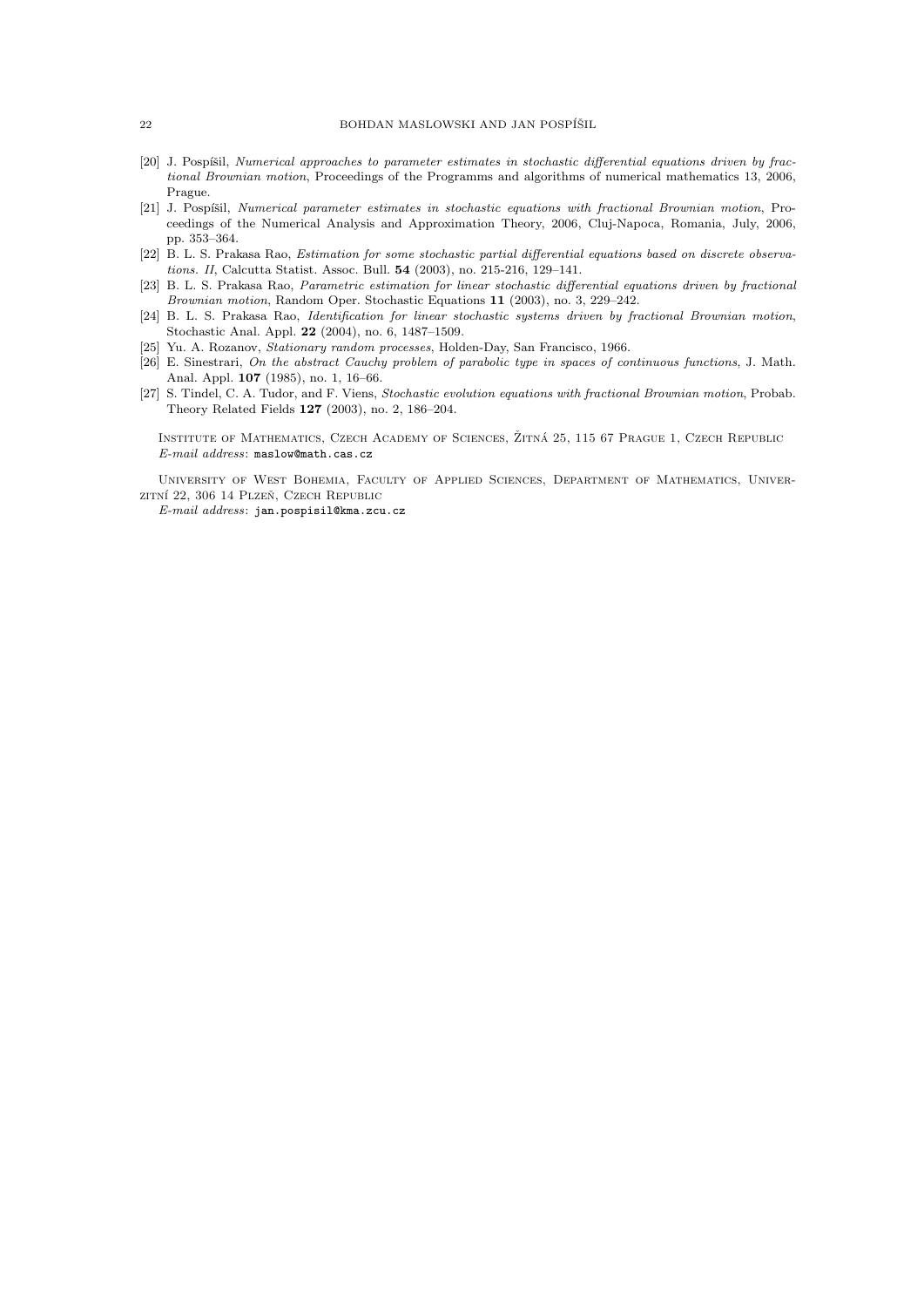- [20] J. Pospíšil, Numerical approaches to parameter estimates in stochastic differential equations driven by fractional Brownian motion, Proceedings of the Programms and algorithms of numerical mathematics 13, 2006, Prague.
- [21] J. Pospíšil, Numerical parameter estimates in stochastic equations with fractional Brownian motion, Proceedings of the Numerical Analysis and Approximation Theory, 2006, Cluj-Napoca, Romania, July, 2006, pp. 353–364.
- [22] B. L. S. Prakasa Rao, Estimation for some stochastic partial differential equations based on discrete observations. II, Calcutta Statist. Assoc. Bull. 54 (2003), no. 215-216, 129–141.
- [23] B. L. S. Prakasa Rao, Parametric estimation for linear stochastic differential equations driven by fractional Brownian motion, Random Oper. Stochastic Equations 11 (2003), no. 3, 229–242.
- [24] B. L. S. Prakasa Rao, Identification for linear stochastic systems driven by fractional Brownian motion, Stochastic Anal. Appl. 22 (2004), no. 6, 1487–1509.
- [25] Yu. A. Rozanov, Stationary random processes, Holden-Day, San Francisco, 1966.
- [26] E. Sinestrari, On the abstract Cauchy problem of parabolic type in spaces of continuous functions, J. Math. Anal. Appl. 107 (1985), no. 1, 16–66.
- [27] S. Tindel, C. A. Tudor, and F. Viens, Stochastic evolution equations with fractional Brownian motion, Probab. Theory Related Fields 127 (2003), no. 2, 186–204.

INSTITUTE OF MATHEMATICS, CZECH ACADEMY OF SCIENCES, ŽITNÁ 25, 115 67 PRAGUE 1, CZECH REPUBLIC E-mail address: maslow@math.cas.cz

University of West Bohemia, Faculty of Applied Sciences, Department of Mathematics, Univerzitní 22, 306 14 Plzeň, Czech Republic

E-mail address: jan.pospisil@kma.zcu.cz